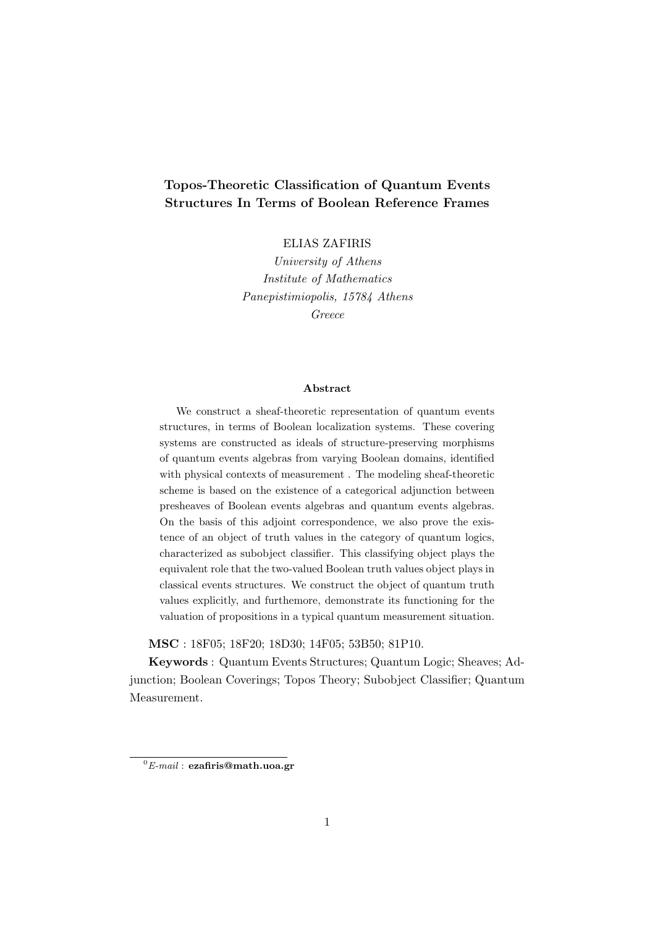## Topos-Theoretic Classification of Quantum Events Structures In Terms of Boolean Reference Frames

ELIAS ZAFIRIS

University of Athens Institute of Mathematics Panepistimiopolis, 15784 Athens Greece

#### Abstract

We construct a sheaf-theoretic representation of quantum events structures, in terms of Boolean localization systems. These covering systems are constructed as ideals of structure-preserving morphisms of quantum events algebras from varying Boolean domains, identified with physical contexts of measurement . The modeling sheaf-theoretic scheme is based on the existence of a categorical adjunction between presheaves of Boolean events algebras and quantum events algebras. On the basis of this adjoint correspondence, we also prove the existence of an object of truth values in the category of quantum logics, characterized as subobject classifier. This classifying object plays the equivalent role that the two-valued Boolean truth values object plays in classical events structures. We construct the object of quantum truth values explicitly, and furthemore, demonstrate its functioning for the valuation of propositions in a typical quantum measurement situation.

MSC : 18F05; 18F20; 18D30; 14F05; 53B50; 81P10.

Keywords : Quantum Events Structures; Quantum Logic; Sheaves; Adjunction; Boolean Coverings; Topos Theory; Subobject Classifier; Quantum Measurement.

 ${}^{0}E\text{-}mail:$  ezafiris@math.uoa.gr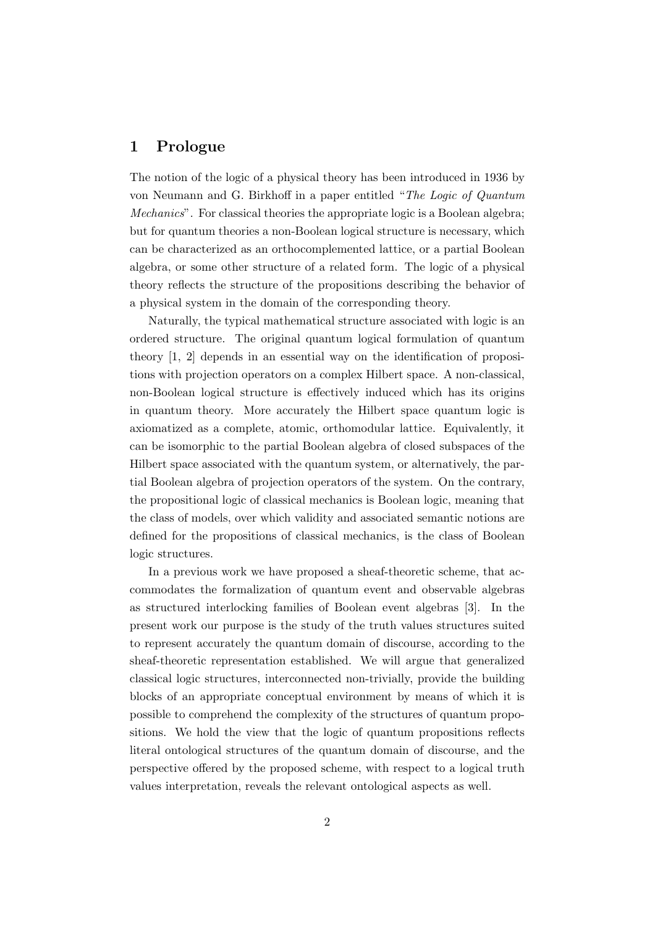### 1 Prologue

The notion of the logic of a physical theory has been introduced in 1936 by von Neumann and G. Birkhoff in a paper entitled "The Logic of Quantum Mechanics". For classical theories the appropriate logic is a Boolean algebra; but for quantum theories a non-Boolean logical structure is necessary, which can be characterized as an orthocomplemented lattice, or a partial Boolean algebra, or some other structure of a related form. The logic of a physical theory reflects the structure of the propositions describing the behavior of a physical system in the domain of the corresponding theory.

Naturally, the typical mathematical structure associated with logic is an ordered structure. The original quantum logical formulation of quantum theory [1, 2] depends in an essential way on the identification of propositions with projection operators on a complex Hilbert space. A non-classical, non-Boolean logical structure is effectively induced which has its origins in quantum theory. More accurately the Hilbert space quantum logic is axiomatized as a complete, atomic, orthomodular lattice. Equivalently, it can be isomorphic to the partial Boolean algebra of closed subspaces of the Hilbert space associated with the quantum system, or alternatively, the partial Boolean algebra of projection operators of the system. On the contrary, the propositional logic of classical mechanics is Boolean logic, meaning that the class of models, over which validity and associated semantic notions are defined for the propositions of classical mechanics, is the class of Boolean logic structures.

In a previous work we have proposed a sheaf-theoretic scheme, that accommodates the formalization of quantum event and observable algebras as structured interlocking families of Boolean event algebras [3]. In the present work our purpose is the study of the truth values structures suited to represent accurately the quantum domain of discourse, according to the sheaf-theoretic representation established. We will argue that generalized classical logic structures, interconnected non-trivially, provide the building blocks of an appropriate conceptual environment by means of which it is possible to comprehend the complexity of the structures of quantum propositions. We hold the view that the logic of quantum propositions reflects literal ontological structures of the quantum domain of discourse, and the perspective offered by the proposed scheme, with respect to a logical truth values interpretation, reveals the relevant ontological aspects as well.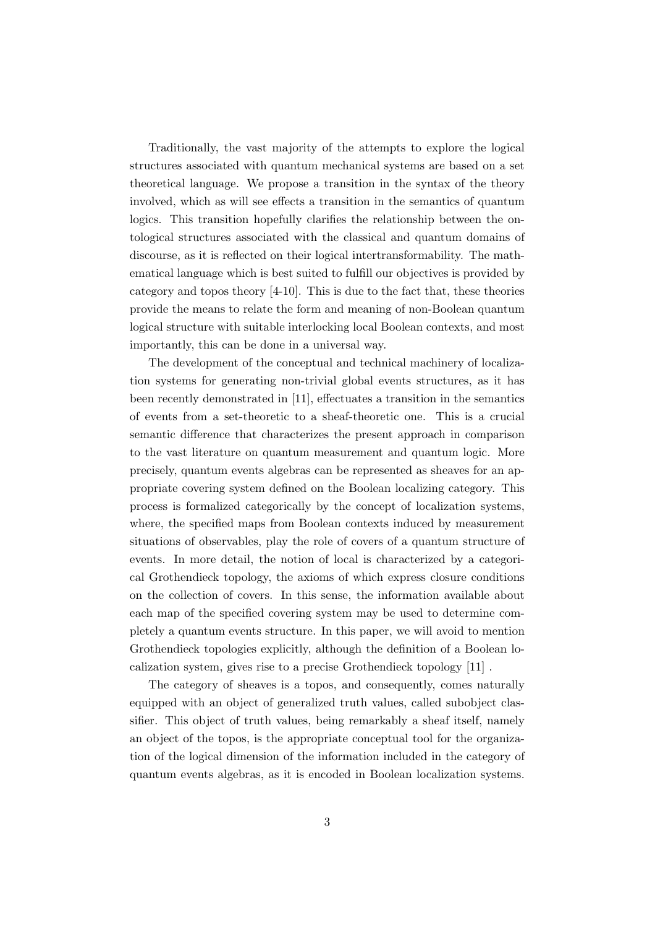Traditionally, the vast majority of the attempts to explore the logical structures associated with quantum mechanical systems are based on a set theoretical language. We propose a transition in the syntax of the theory involved, which as will see effects a transition in the semantics of quantum logics. This transition hopefully clarifies the relationship between the ontological structures associated with the classical and quantum domains of discourse, as it is reflected on their logical intertransformability. The mathematical language which is best suited to fulfill our objectives is provided by category and topos theory [4-10]. This is due to the fact that, these theories provide the means to relate the form and meaning of non-Boolean quantum logical structure with suitable interlocking local Boolean contexts, and most importantly, this can be done in a universal way.

The development of the conceptual and technical machinery of localization systems for generating non-trivial global events structures, as it has been recently demonstrated in [11], effectuates a transition in the semantics of events from a set-theoretic to a sheaf-theoretic one. This is a crucial semantic difference that characterizes the present approach in comparison to the vast literature on quantum measurement and quantum logic. More precisely, quantum events algebras can be represented as sheaves for an appropriate covering system defined on the Boolean localizing category. This process is formalized categorically by the concept of localization systems, where, the specified maps from Boolean contexts induced by measurement situations of observables, play the role of covers of a quantum structure of events. In more detail, the notion of local is characterized by a categorical Grothendieck topology, the axioms of which express closure conditions on the collection of covers. In this sense, the information available about each map of the specified covering system may be used to determine completely a quantum events structure. In this paper, we will avoid to mention Grothendieck topologies explicitly, although the definition of a Boolean localization system, gives rise to a precise Grothendieck topology [11] .

The category of sheaves is a topos, and consequently, comes naturally equipped with an object of generalized truth values, called subobject classifier. This object of truth values, being remarkably a sheaf itself, namely an object of the topos, is the appropriate conceptual tool for the organization of the logical dimension of the information included in the category of quantum events algebras, as it is encoded in Boolean localization systems.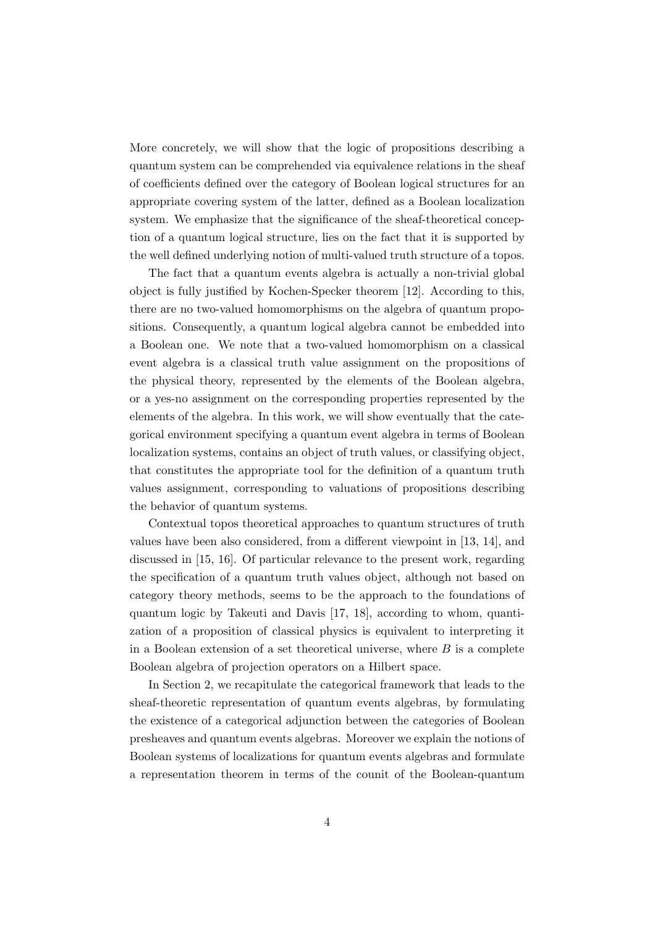More concretely, we will show that the logic of propositions describing a quantum system can be comprehended via equivalence relations in the sheaf of coefficients defined over the category of Boolean logical structures for an appropriate covering system of the latter, defined as a Boolean localization system. We emphasize that the significance of the sheaf-theoretical conception of a quantum logical structure, lies on the fact that it is supported by the well defined underlying notion of multi-valued truth structure of a topos.

The fact that a quantum events algebra is actually a non-trivial global object is fully justified by Kochen-Specker theorem [12]. According to this, there are no two-valued homomorphisms on the algebra of quantum propositions. Consequently, a quantum logical algebra cannot be embedded into a Boolean one. We note that a two-valued homomorphism on a classical event algebra is a classical truth value assignment on the propositions of the physical theory, represented by the elements of the Boolean algebra, or a yes-no assignment on the corresponding properties represented by the elements of the algebra. In this work, we will show eventually that the categorical environment specifying a quantum event algebra in terms of Boolean localization systems, contains an object of truth values, or classifying object, that constitutes the appropriate tool for the definition of a quantum truth values assignment, corresponding to valuations of propositions describing the behavior of quantum systems.

Contextual topos theoretical approaches to quantum structures of truth values have been also considered, from a different viewpoint in [13, 14], and discussed in [15, 16]. Of particular relevance to the present work, regarding the specification of a quantum truth values object, although not based on category theory methods, seems to be the approach to the foundations of quantum logic by Takeuti and Davis [17, 18], according to whom, quantization of a proposition of classical physics is equivalent to interpreting it in a Boolean extension of a set theoretical universe, where  $B$  is a complete Boolean algebra of projection operators on a Hilbert space.

In Section 2, we recapitulate the categorical framework that leads to the sheaf-theoretic representation of quantum events algebras, by formulating the existence of a categorical adjunction between the categories of Boolean presheaves and quantum events algebras. Moreover we explain the notions of Boolean systems of localizations for quantum events algebras and formulate a representation theorem in terms of the counit of the Boolean-quantum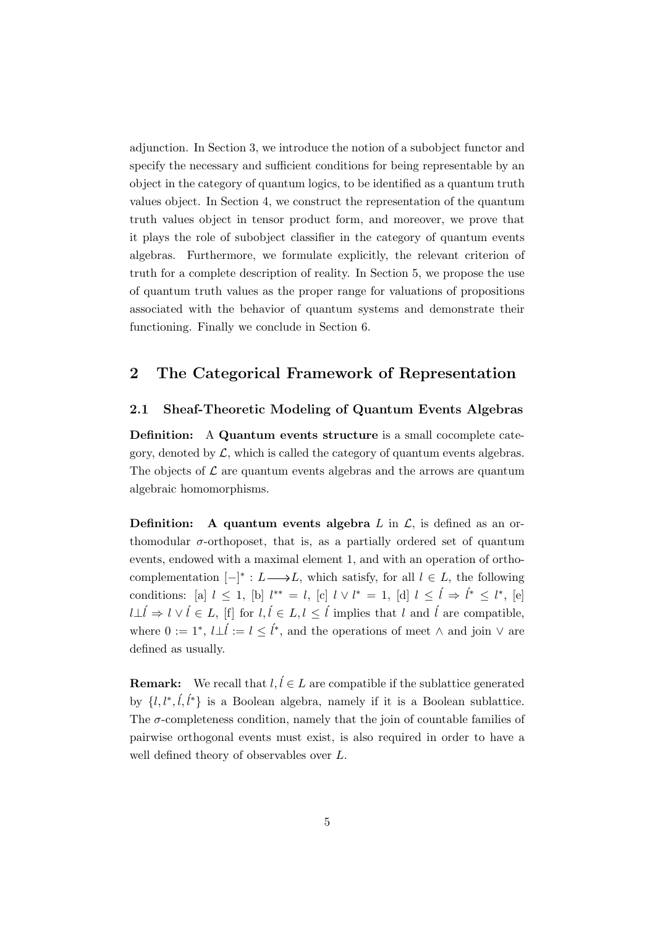adjunction. In Section 3, we introduce the notion of a subobject functor and specify the necessary and sufficient conditions for being representable by an object in the category of quantum logics, to be identified as a quantum truth values object. In Section 4, we construct the representation of the quantum truth values object in tensor product form, and moreover, we prove that it plays the role of subobject classifier in the category of quantum events algebras. Furthermore, we formulate explicitly, the relevant criterion of truth for a complete description of reality. In Section 5, we propose the use of quantum truth values as the proper range for valuations of propositions associated with the behavior of quantum systems and demonstrate their functioning. Finally we conclude in Section 6.

## 2 The Categorical Framework of Representation

#### 2.1 Sheaf-Theoretic Modeling of Quantum Events Algebras

Definition: A Quantum events structure is a small cocomplete category, denoted by  $\mathcal{L}$ , which is called the category of quantum events algebras. The objects of  $\mathcal L$  are quantum events algebras and the arrows are quantum algebraic homomorphisms.

**Definition:** A quantum events algebra  $L$  in  $\mathcal{L}$ , is defined as an orthomodular  $\sigma$ -orthoposet, that is, as a partially ordered set of quantum events, endowed with a maximal element 1, and with an operation of orthocomplementation  $[-]^* : L \longrightarrow L$ , which satisfy, for all  $l \in L$ , the following conditions: [a]  $l \leq 1$ , [b]  $l^{**} = l$ , [c]  $l \vee l^* = 1$ , [d]  $l \leq \hat{l} \Rightarrow \hat{l}^* \leq l^*$ , [e]  $l\perp \hat{l} \Rightarrow l \vee \hat{l} \in L$ , [f] for  $l, \hat{l} \in L, l \leq \hat{l}$  implies that l and  $\hat{l}$  are compatible, where  $0 := 1^*, l\bot \hat{l} := l \leq \hat{l}^*,$  and the operations of meet  $\wedge$  and join  $\vee$  are defined as usually.

**Remark:** We recall that  $l, l \in L$  are compatible if the sublattice generated by  $\{l, l^*, \ell, \ell^*\}$  is a Boolean algebra, namely if it is a Boolean sublattice. The  $\sigma$ -completeness condition, namely that the join of countable families of pairwise orthogonal events must exist, is also required in order to have a well defined theory of observables over L.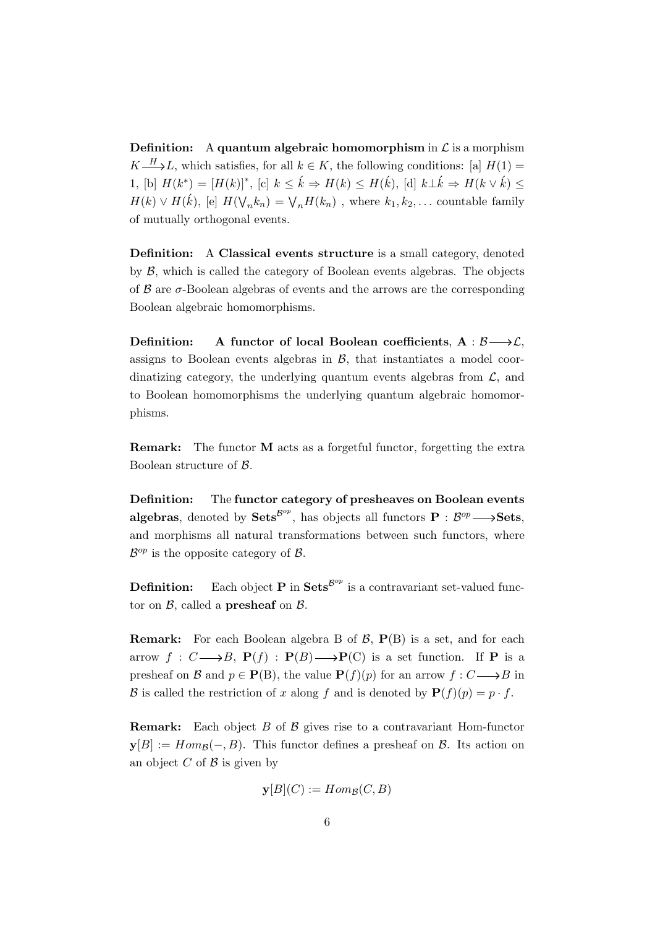**Definition:** A quantum algebraic homomorphism in  $\mathcal{L}$  is a morphism  $K \longrightarrow L$ , which satisfies, for all  $k \in K$ , the following conditions: [a]  $H(1) =$ 1, [b]  $H(k^*) = [H(k)]^*$ , [c]  $k \leq \hat{k} \Rightarrow H(k) \leq H(\hat{k})$ , [d]  $k \perp \hat{k} \Rightarrow H(k \vee \hat{k}) \leq$  $H(k) \vee H(k)$ , [e]  $H(\vee_n k_n) = \vee_n H(k_n)$ , where  $k_1, k_2, \ldots$  countable family of mutually orthogonal events.

Definition: A Classical events structure is a small category, denoted by  $\beta$ , which is called the category of Boolean events algebras. The objects of  $\beta$  are  $\sigma$ -Boolean algebras of events and the arrows are the corresponding Boolean algebraic homomorphisms.

Definition: A functor of local Boolean coefficients,  $A : \mathcal{B} \longrightarrow \mathcal{L}$ , assigns to Boolean events algebras in  $\beta$ , that instantiates a model coordinatizing category, the underlying quantum events algebras from  $\mathcal{L}$ , and to Boolean homomorphisms the underlying quantum algebraic homomorphisms.

Remark: The functor M acts as a forgetful functor, forgetting the extra Boolean structure of B.

Definition: The functor category of presheaves on Boolean events algebras, denoted by  $\textbf{Sets}^{\mathcal{B}^{op}}$ , has objects all functors  $\mathbf{P}: \mathcal{B}^{op} \longrightarrow \textbf{Sets}$ , and morphisms all natural transformations between such functors, where  $\mathcal{B}^{op}$  is the opposite category of  $\mathcal{B}$ .

**Definition:** Each object **P** in  $\textbf{Sets}^{\mathcal{B}^{op}}$  is a contravariant set-valued functor on  $\beta$ , called a **presheaf** on  $\beta$ .

**Remark:** For each Boolean algebra B of  $\mathcal{B}$ ,  $P(B)$  is a set, and for each arrow  $f: C \longrightarrow B$ ,  $P(f): P(B) \longrightarrow P(C)$  is a set function. If P is a presheaf on B and  $p \in \mathbf{P}(B)$ , the value  $\mathbf{P}(f)(p)$  for an arrow  $f: C \longrightarrow B$  in B is called the restriction of x along f and is denoted by  $P(f)(p) = p \cdot f$ .

**Remark:** Each object  $B$  of  $\beta$  gives rise to a contravariant Hom-functor  $y[B] := Hom_{\mathcal{B}}(-, B)$ . This functor defines a presheaf on  $\mathcal{B}$ . Its action on an object  $C$  of  $\beta$  is given by

$$
\mathbf{y}[B](C) := Hom_{\mathcal{B}}(C, B)
$$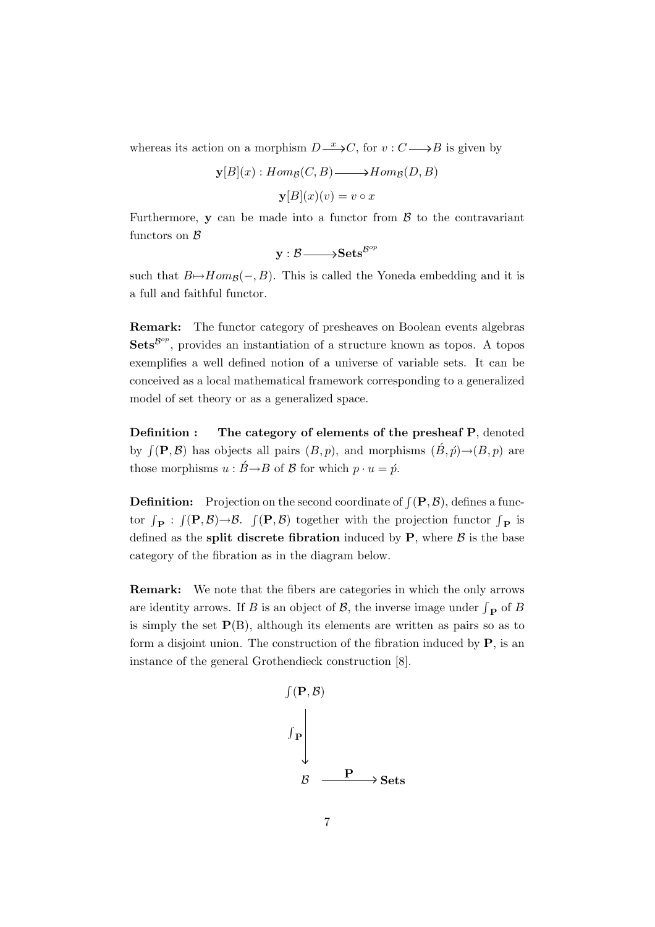whereas its action on a morphism  $D \longrightarrow C$ , for  $v : C \longrightarrow B$  is given by

$$
\mathbf{y}[B](x) : Hom_{\mathcal{B}}(C, B) \longrightarrow Hom_{\mathcal{B}}(D, B)
$$

$$
\mathbf{y}[B](x)(v) = v \circ x
$$

Furthermore,  $y$  can be made into a functor from  $\beta$  to the contravariant functors on  $\beta$ 

$$
\text{y}: \mathcal{B}{\longrightarrow} \textbf{Sets}^{\mathcal{B}^{op}}
$$

such that  $B\rightarrow Hom_B(-, B)$ . This is called the Yoneda embedding and it is a full and faithful functor.

Remark: The functor category of presheaves on Boolean events algebras  $\mathbf{Sets}^{\mathcal{B}^{op}}$ , provides an instantiation of a structure known as topos. A topos exemplifies a well defined notion of a universe of variable sets. It can be conceived as a local mathematical framework corresponding to a generalized model of set theory or as a generalized space.

Definition : The category of elements of the presheaf P, denoted by  $f(\mathbf{P}, \mathcal{B})$  has objects all pairs  $(B, p)$ , and morphisms  $(\hat{B}, \hat{p}) \rightarrow (B, p)$  are those morphisms  $u : \acute{B} \rightarrow B$  of  $\mathcal B$  for which  $p \cdot u = \acute{p}$ .

**Definition:** Projection on the second coordinate of  $f(\mathbf{P}, \mathcal{B})$ , defines a functor  $\int_{\mathbf{P}}$ :  $\int (\mathbf{P}, \mathcal{B}) \rightarrow \mathcal{B}$ .  $\int (\mathbf{P}, \mathcal{B})$  together with the projection functor  $\int_{\mathbf{P}}$  is defined as the **split discrete fibration** induced by  $P$ , where  $\beta$  is the base category of the fibration as in the diagram below.

Remark: We note that the fibers are categories in which the only arrows are identity arrows. If B is an object of B, the inverse image under  $\int_{\mathbf{P}}$  of B is simply the set  $P(B)$ , although its elements are written as pairs so as to form a disjoint union. The construction of the fibration induced by  $P$ , is an instance of the general Grothendieck construction [8].

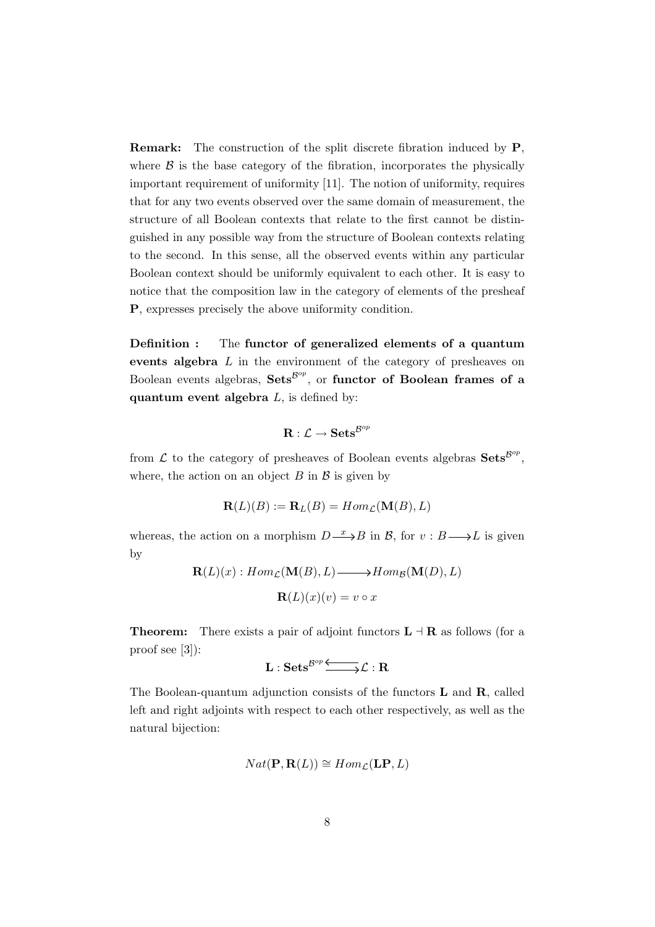Remark: The construction of the split discrete fibration induced by P, where  $\beta$  is the base category of the fibration, incorporates the physically important requirement of uniformity [11]. The notion of uniformity, requires that for any two events observed over the same domain of measurement, the structure of all Boolean contexts that relate to the first cannot be distinguished in any possible way from the structure of Boolean contexts relating to the second. In this sense, all the observed events within any particular Boolean context should be uniformly equivalent to each other. It is easy to notice that the composition law in the category of elements of the presheaf P, expresses precisely the above uniformity condition.

Definition : The functor of generalized elements of a quantum events algebra L in the environment of the category of presheaves on Boolean events algebras,  $\textbf{Sets}^{\mathcal{B}^{op}}$ , or functor of Boolean frames of a quantum event algebra  $L$ , is defined by:

$$
\mathbf{R}:\mathcal{L}\rightarrow\mathbf{Sets}^{\mathcal{B}^{op}}
$$

from  $\mathcal L$  to the category of presheaves of Boolean events algebras  $\textbf{Sets}^{\mathcal B^{op}},$ where, the action on an object  $B$  in  $\beta$  is given by

$$
\mathbf{R}(L)(B) := \mathbf{R}_L(B) = Hom_{\mathcal{L}}(\mathbf{M}(B), L)
$$

whereas, the action on a morphism  $D \rightarrow B$  in B, for  $v : B \rightarrow L$  is given by

$$
\mathbf{R}(L)(x) : Hom_{\mathcal{L}}(\mathbf{M}(B), L) \longrightarrow Hom_{\mathcal{B}}(\mathbf{M}(D), L)
$$

$$
\mathbf{R}(L)(x)(v) = v \circ x
$$

**Theorem:** There exists a pair of adjoint functors  $L \dashv R$  as follows (for a proof see [3]):

$$
\mathbf{L}: \mathbf{Sets}^{\mathcal{B}^{op}} \overline{\xrightarrow{\qquad}} \mathcal{L}: \mathbf{R}
$$

The Boolean-quantum adjunction consists of the functors  $\bf{L}$  and  $\bf{R}$ , called left and right adjoints with respect to each other respectively, as well as the natural bijection:

$$
Nat(\mathbf{P}, \mathbf{R}(L)) \cong Hom_{\mathcal{L}}(\mathbf{LP}, L)
$$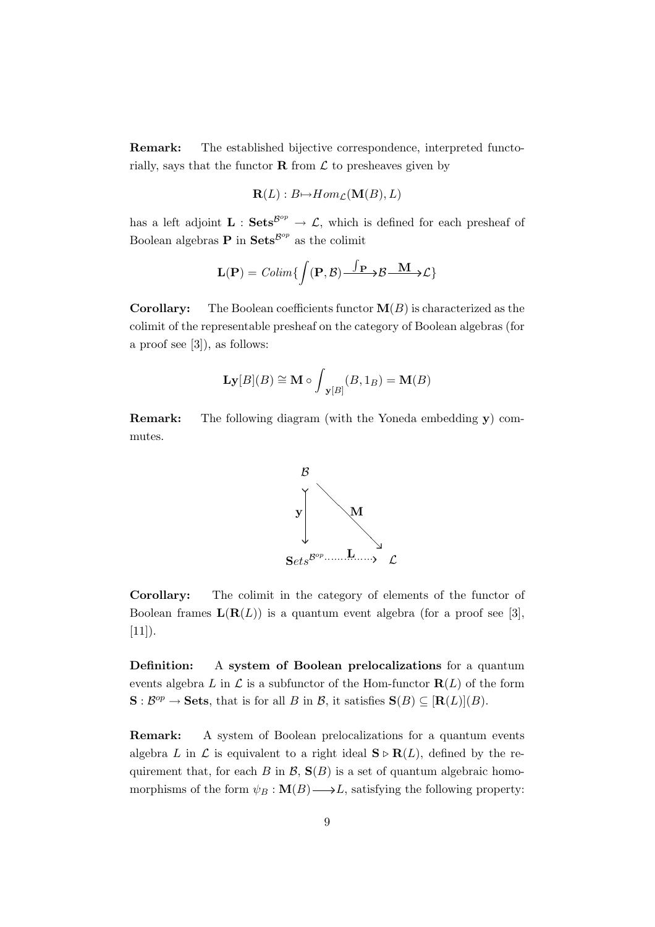Remark: The established bijective correspondence, interpreted functorially, says that the functor  $\bf{R}$  from  $\cal{L}$  to presheaves given by

$$
\mathbf{R}(L): B \mapsto Hom_{\mathcal{L}}(\mathbf{M}(B), L)
$$

has a left adjoint  $\mathbf{L}$ :  $\mathbf{Sets}^{\mathcal{B}^{op}} \to \mathcal{L}$ , which is defined for each presheaf of Boolean algebras **P** in  $\textbf{Sets}^{\mathcal{B}^{op}}$  as the colimit

$$
\mathbf{L}(\mathbf{P}) = \mathit{Colim}\left\{\int(\mathbf{P},\mathcal{B})\frac{\int_{\mathbf{P}}\mathbf{p}}{\int \mathcal{B}-\mathbf{M}}\mathbf{p}\mathcal{L}\right\}
$$

**Corollary:** The Boolean coefficients functor  $M(B)$  is characterized as the colimit of the representable presheaf on the category of Boolean algebras (for a proof see [3]), as follows:

$$
\mathbf{Ly}[B](B) \cong \mathbf{M} \circ \int_{\mathbf{y}[B]} (B, 1_B) = \mathbf{M}(B)
$$

Remark: The following diagram (with the Yoneda embedding y) commutes.



Corollary: The colimit in the category of elements of the functor of Boolean frames  $\mathbf{L}(\mathbf{R}(L))$  is a quantum event algebra (for a proof see [3],  $[11]$ .

Definition: A system of Boolean prelocalizations for a quantum events algebra L in  $\mathcal L$  is a subfunctor of the Hom-functor  $\mathbf R(L)$  of the form  $\mathbf{S}: \mathcal{B}^{op} \to \mathbf{Sets}$ , that is for all B in B, it satisfies  $\mathbf{S}(B) \subseteq [\mathbf{R}(L)](B)$ .

Remark: A system of Boolean prelocalizations for a quantum events algebra L in L is equivalent to a right ideal  $\mathbf{S} \triangleright \mathbf{R}(L)$ , defined by the requirement that, for each B in  $\mathcal{B}, S(B)$  is a set of quantum algebraic homomorphisms of the form  $\psi_B : \mathbf{M}(B) \longrightarrow L$ , satisfying the following property: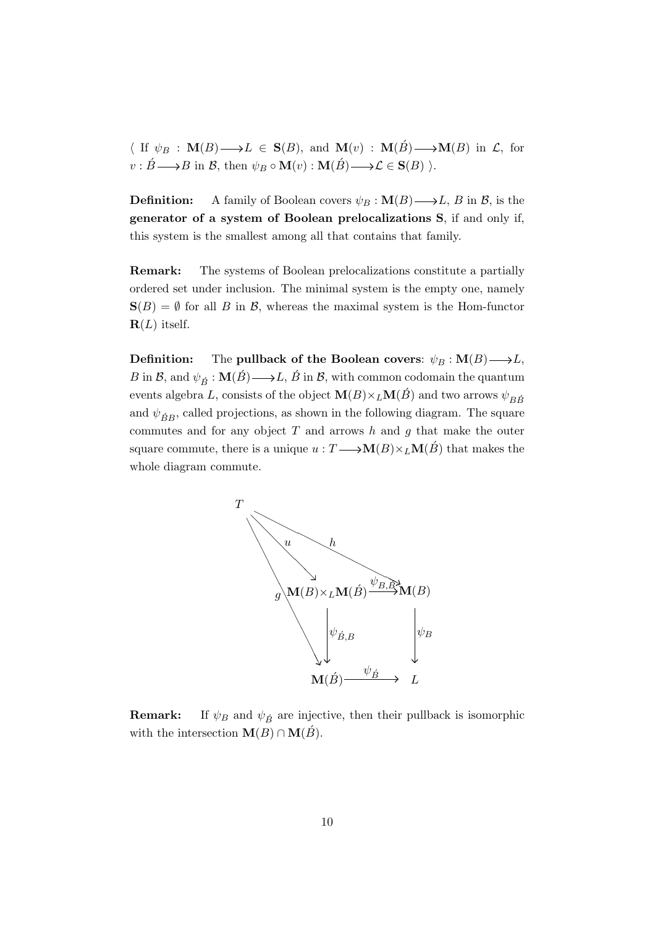$\langle$  If  $\psi_B : M(B) \longrightarrow L \in S(B)$ , and  $M(v) : M(\acute{B}) \longrightarrow M(B)$  in  $\mathcal{L}$ , for  $v : \acute{B} \longrightarrow B$  in B, then  $\psi_B \circ \mathbf{M}(v) : \mathbf{M}(\acute{B}) \longrightarrow \mathcal{L} \in \mathbf{S}(B)$   $\rangle$ .

**Definition:** A family of Boolean covers  $\psi_B : \mathbf{M}(B) \longrightarrow L$ , B in B, is the generator of a system of Boolean prelocalizations S, if and only if, this system is the smallest among all that contains that family.

Remark: The systems of Boolean prelocalizations constitute a partially ordered set under inclusion. The minimal system is the empty one, namely  $S(B) = \emptyset$  for all B in B, whereas the maximal system is the Hom-functor  $\mathbf{R}(L)$  itself.

Definition: The pullback of the Boolean covers:  $\psi_B: \mathbf{M}(B) {\longrightarrow} L,$  $B$  in  $\mathcal{B}$ , and  $\psi_{\acute{B}} : \mathbf{M}(\acute{B}) \longrightarrow L$ ,  $\acute{B}$  in  $\mathcal{B}$ , with common codomain the quantum events algebra L, consists of the object  $\mathbf{M}(B) \times_L \mathbf{M}(\acute{B})$  and two arrows  $\psi_{B\acute{B}}$ and  $\psi_{\hat{B}B}$ , called projections, as shown in the following diagram. The square commutes and for any object  $T$  and arrows  $h$  and  $g$  that make the outer square commute, there is a unique  $u : T \longrightarrow M(B) \times_L M(\hat{B})$  that makes the whole diagram commute.



**Remark:** If  $\psi_B$  and  $\psi_{\hat{B}}$  are injective, then their pullback is isomorphic with the intersection  $\mathbf{M}(B) \cap \mathbf{M}(B)$ .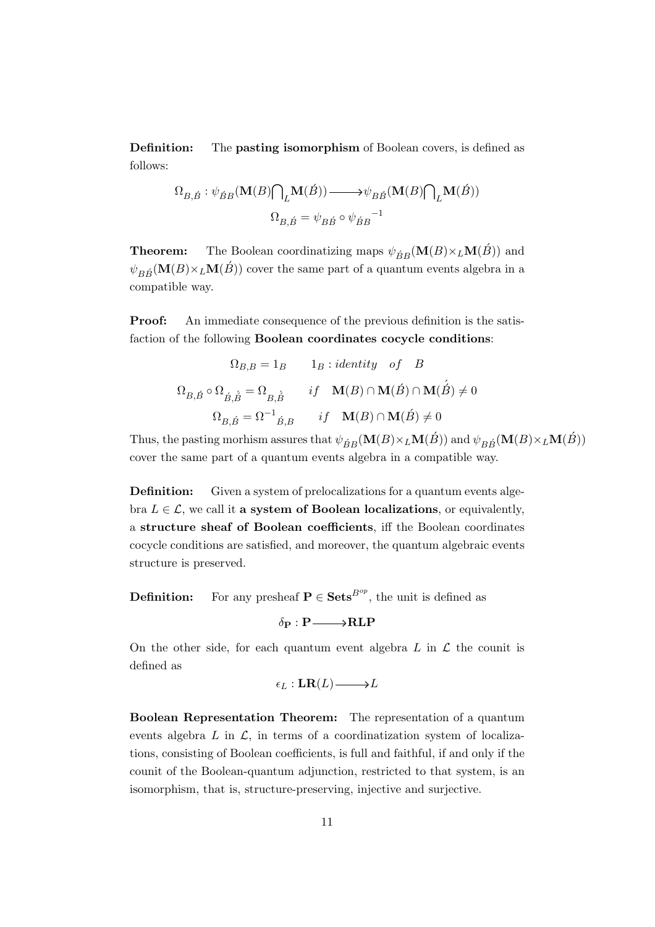**Definition:** The **pasting isomorphism** of Boolean covers, is defined as follows:

$$
\Omega_{B,\vec{B}} : \psi_{\vec{B}B}(\mathbf{M}(B)\bigcap_{L}\mathbf{M}(\vec{B})) \longrightarrow \psi_{B\vec{B}}(\mathbf{M}(B)\bigcap_{L}\mathbf{M}(\vec{B}))
$$

$$
\Omega_{B,\vec{B}} = \psi_{B\vec{B}} \circ \psi_{\vec{B}B}^{-1}
$$

**Theorem:** The Boolean coordinatizing maps  $\psi_{\hat{B}B}(\mathbf{M}(B)\times_L\mathbf{M}(B))$  and  $\psi_{B\acute{B}}(\mathbf{M}(B)\times_L\mathbf{M}(\acute{B}))$  cover the same part of a quantum events algebra in a compatible way.

**Proof:** An immediate consequence of the previous definition is the satisfaction of the following Boolean coordinates cocycle conditions:

$$
\Omega_{B,B} = 1_B \qquad 1_B : identity \quad of \quad B
$$

$$
\Omega_{B,\vec{B}} \circ \Omega_{\vec{B},\vec{\hat{B}}} = \Omega_{B,\vec{\hat{B}}} \qquad if \quad \mathbf{M}(B) \cap \mathbf{M}(\vec{B}) \cap \mathbf{M}(\vec{\hat{B}}) \neq 0
$$

$$
\Omega_{B,\vec{B}} = \Omega^{-1}_{\quad \vec{B},B} \qquad if \quad \mathbf{M}(B) \cap \mathbf{M}(\vec{B}) \neq 0
$$

Thus, the pasting morhism assures that  $\psi_{\hat{B}B}(\mathbf{M}(B)\times_L\mathbf{M}(\hat{B}))$  and  $\psi_{B\hat{B}}(\mathbf{M}(B)\times_L\mathbf{M}(\hat{B}))$ cover the same part of a quantum events algebra in a compatible way.

Definition: Given a system of prelocalizations for a quantum events algebra  $L \in \mathcal{L}$ , we call it a system of Boolean localizations, or equivalently, a structure sheaf of Boolean coefficients, iff the Boolean coordinates cocycle conditions are satisfied, and moreover, the quantum algebraic events structure is preserved.

**Definition:** For any presheaf  $P \in \mathbf{Sets}^{B^{op}}$ , the unit is defined as

$$
\delta_{\mathbf{P}}:\mathbf{P}{\:\longrightarrow\:}\mathbf{RLP}
$$

On the other side, for each quantum event algebra  $L$  in  $\mathcal L$  the counit is defined as

²<sup>L</sup> : LR(L) qL

Boolean Representation Theorem: The representation of a quantum events algebra  $L$  in  $\mathcal{L}$ , in terms of a coordinatization system of localizations, consisting of Boolean coefficients, is full and faithful, if and only if the counit of the Boolean-quantum adjunction, restricted to that system, is an isomorphism, that is, structure-preserving, injective and surjective.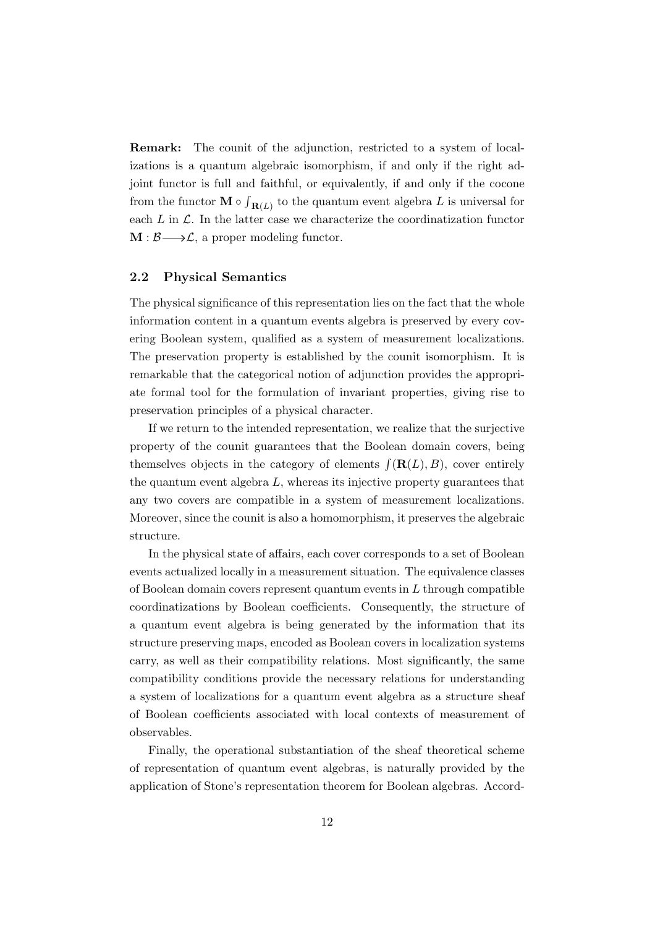Remark: The counit of the adjunction, restricted to a system of localizations is a quantum algebraic isomorphism, if and only if the right adjoint functor is full and faithful, or equivalently, if and only if the cocone R from the functor  $\mathbf{M} \circ \int_{\mathbf{R}(L)}$  to the quantum event algebra L is universal for each  $L$  in  $\mathcal{L}$ . In the latter case we characterize the coordinatization functor  $M : \mathcal{B} \longrightarrow \mathcal{L}$ , a proper modeling functor.

#### 2.2 Physical Semantics

The physical significance of this representation lies on the fact that the whole information content in a quantum events algebra is preserved by every covering Boolean system, qualified as a system of measurement localizations. The preservation property is established by the counit isomorphism. It is remarkable that the categorical notion of adjunction provides the appropriate formal tool for the formulation of invariant properties, giving rise to preservation principles of a physical character.

If we return to the intended representation, we realize that the surjective property of the counit guarantees that the Boolean domain covers, being themselves objects in the category of elements  $\int (\mathbf{R}(L), B)$ , cover entirely the quantum event algebra  $L$ , whereas its injective property guarantees that any two covers are compatible in a system of measurement localizations. Moreover, since the counit is also a homomorphism, it preserves the algebraic structure.

In the physical state of affairs, each cover corresponds to a set of Boolean events actualized locally in a measurement situation. The equivalence classes of Boolean domain covers represent quantum events in  $L$  through compatible coordinatizations by Boolean coefficients. Consequently, the structure of a quantum event algebra is being generated by the information that its structure preserving maps, encoded as Boolean covers in localization systems carry, as well as their compatibility relations. Most significantly, the same compatibility conditions provide the necessary relations for understanding a system of localizations for a quantum event algebra as a structure sheaf of Boolean coefficients associated with local contexts of measurement of observables.

Finally, the operational substantiation of the sheaf theoretical scheme of representation of quantum event algebras, is naturally provided by the application of Stone's representation theorem for Boolean algebras. Accord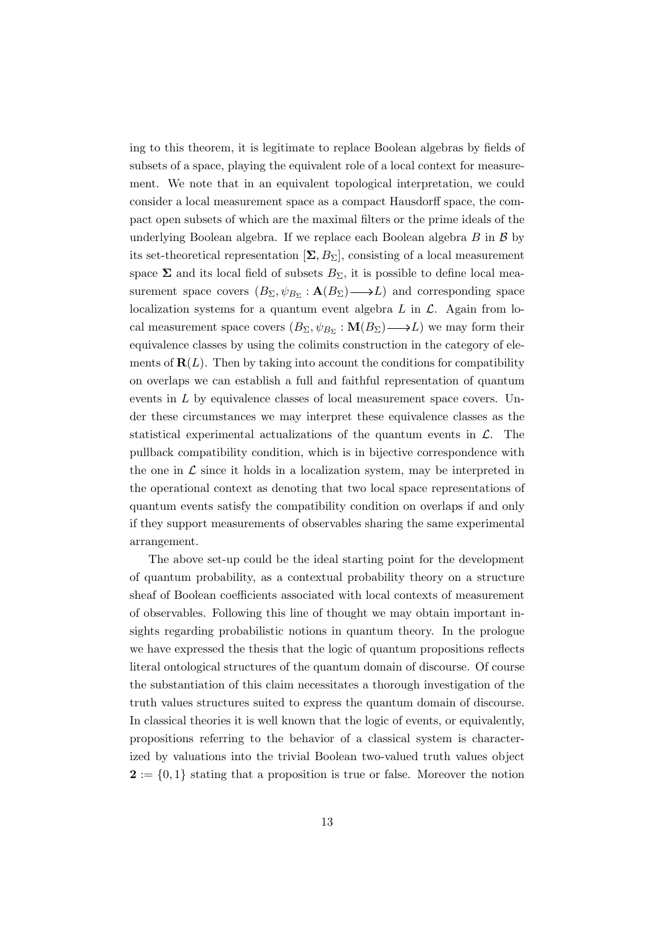ing to this theorem, it is legitimate to replace Boolean algebras by fields of subsets of a space, playing the equivalent role of a local context for measurement. We note that in an equivalent topological interpretation, we could consider a local measurement space as a compact Hausdorff space, the compact open subsets of which are the maximal filters or the prime ideals of the underlying Boolean algebra. If we replace each Boolean algebra  $B$  in  $\beta$  by its set-theoretical representation  $[\Sigma, B_{\Sigma}]$ , consisting of a local measurement space  $\Sigma$  and its local field of subsets  $B_{\Sigma}$ , it is possible to define local measurement space covers  $(B_{\Sigma}, \psi_{B_{\Sigma}} : \mathbf{A}(B_{\Sigma}) \longrightarrow L)$  and corresponding space localization systems for a quantum event algebra  $L$  in  $\mathcal{L}$ . Again from local measurement space covers  $(B_{\Sigma}, \psi_{B_{\Sigma}} : M(B_{\Sigma}) \longrightarrow L)$  we may form their equivalence classes by using the colimits construction in the category of elements of  $\mathbf{R}(L)$ . Then by taking into account the conditions for compatibility on overlaps we can establish a full and faithful representation of quantum events in L by equivalence classes of local measurement space covers. Under these circumstances we may interpret these equivalence classes as the statistical experimental actualizations of the quantum events in  $\mathcal{L}$ . The pullback compatibility condition, which is in bijective correspondence with the one in  $\mathcal L$  since it holds in a localization system, may be interpreted in the operational context as denoting that two local space representations of quantum events satisfy the compatibility condition on overlaps if and only if they support measurements of observables sharing the same experimental arrangement.

The above set-up could be the ideal starting point for the development of quantum probability, as a contextual probability theory on a structure sheaf of Boolean coefficients associated with local contexts of measurement of observables. Following this line of thought we may obtain important insights regarding probabilistic notions in quantum theory. In the prologue we have expressed the thesis that the logic of quantum propositions reflects literal ontological structures of the quantum domain of discourse. Of course the substantiation of this claim necessitates a thorough investigation of the truth values structures suited to express the quantum domain of discourse. In classical theories it is well known that the logic of events, or equivalently, propositions referring to the behavior of a classical system is characterized by valuations into the trivial Boolean two-valued truth values object  $2 := \{0,1\}$  stating that a proposition is true or false. Moreover the notion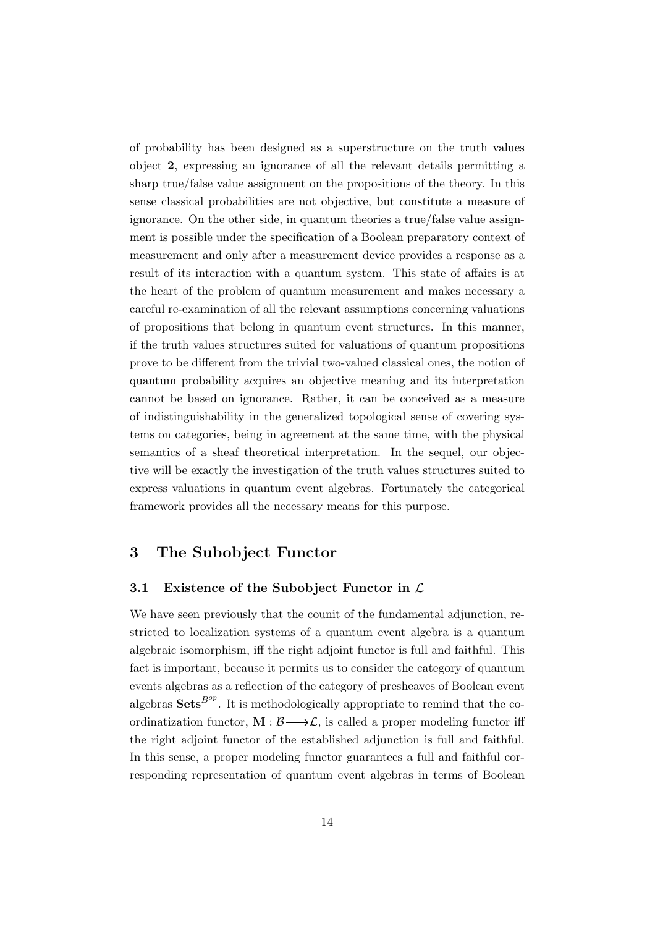of probability has been designed as a superstructure on the truth values object 2, expressing an ignorance of all the relevant details permitting a sharp true/false value assignment on the propositions of the theory. In this sense classical probabilities are not objective, but constitute a measure of ignorance. On the other side, in quantum theories a true/false value assignment is possible under the specification of a Boolean preparatory context of measurement and only after a measurement device provides a response as a result of its interaction with a quantum system. This state of affairs is at the heart of the problem of quantum measurement and makes necessary a careful re-examination of all the relevant assumptions concerning valuations of propositions that belong in quantum event structures. In this manner, if the truth values structures suited for valuations of quantum propositions prove to be different from the trivial two-valued classical ones, the notion of quantum probability acquires an objective meaning and its interpretation cannot be based on ignorance. Rather, it can be conceived as a measure of indistinguishability in the generalized topological sense of covering systems on categories, being in agreement at the same time, with the physical semantics of a sheaf theoretical interpretation. In the sequel, our objective will be exactly the investigation of the truth values structures suited to express valuations in quantum event algebras. Fortunately the categorical framework provides all the necessary means for this purpose.

## 3 The Subobject Functor

#### 3.1 Existence of the Subobject Functor in  $\mathcal L$

We have seen previously that the counit of the fundamental adjunction, restricted to localization systems of a quantum event algebra is a quantum algebraic isomorphism, iff the right adjoint functor is full and faithful. This fact is important, because it permits us to consider the category of quantum events algebras as a reflection of the category of presheaves of Boolean event algebras  $\textbf{Sets}^{B^{op}}$ . It is methodologically appropriate to remind that the coordinatization functor,  $\mathbf{M} : \mathcal{B} \longrightarrow \mathcal{L}$ , is called a proper modeling functor iff the right adjoint functor of the established adjunction is full and faithful. In this sense, a proper modeling functor guarantees a full and faithful corresponding representation of quantum event algebras in terms of Boolean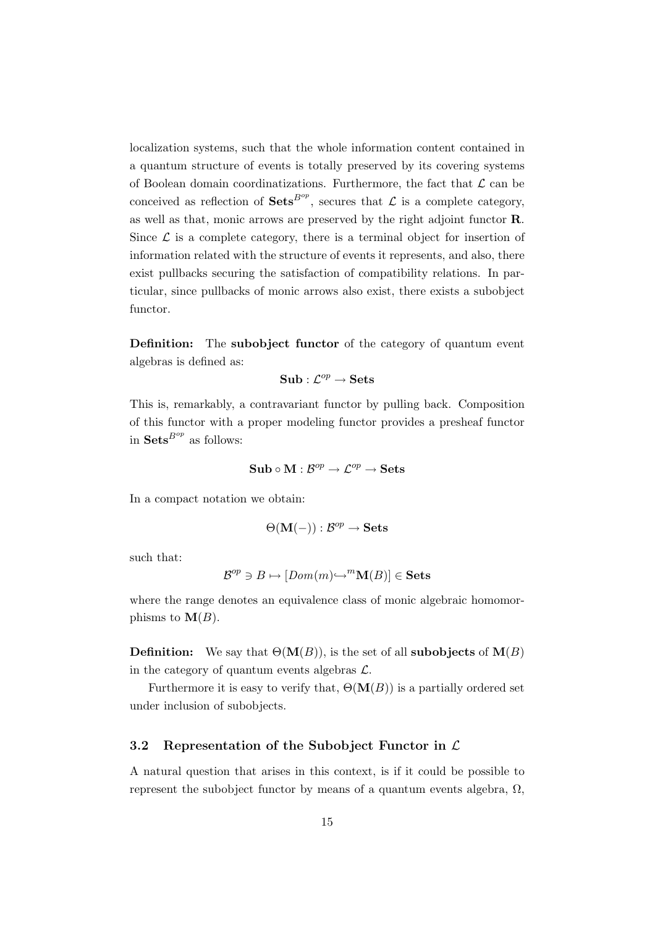localization systems, such that the whole information content contained in a quantum structure of events is totally preserved by its covering systems of Boolean domain coordinatizations. Furthermore, the fact that  $\mathcal L$  can be conceived as reflection of **Sets**<sup> $Bop$ </sup>, secures that  $\mathcal L$  is a complete category, as well as that, monic arrows are preserved by the right adjoint functor R. Since  $\mathcal L$  is a complete category, there is a terminal object for insertion of information related with the structure of events it represents, and also, there exist pullbacks securing the satisfaction of compatibility relations. In particular, since pullbacks of monic arrows also exist, there exists a subobject functor.

Definition: The subobject functor of the category of quantum event algebras is defined as:

 $\mathbf{Sub} : \mathcal{L}^{op} \to \mathbf{Sets}$ 

This is, remarkably, a contravariant functor by pulling back. Composition of this functor with a proper modeling functor provides a presheaf functor in  $\textbf{Sets}^{B^{op}}$  as follows:

$$
\operatorname{\boldsymbol{\mathsf{Sub}}} \circ \operatorname{\boldsymbol{\mathsf{M}}} : \mathcal{B}^{op} \to \mathcal{L}^{op} \to \operatorname{\boldsymbol{\mathsf{Sets}}}
$$

In a compact notation we obtain:

$$
\Theta(\mathbf{M}(-)) : \mathcal{B}^{op} \to \mathbf{Sets}
$$

such that:

$$
\mathcal{B}^{op} \ni B \mapsto [Dom(m) \hookrightarrow^m \mathbf{M}(B)] \in \mathbf{Sets}
$$

where the range denotes an equivalence class of monic algebraic homomorphisms to  $\mathbf{M}(B)$ .

**Definition:** We say that  $\Theta(M(B))$ , is the set of all **subobjects** of  $M(B)$ in the category of quantum events algebras  $\mathcal{L}$ .

Furthermore it is easy to verify that,  $\Theta(\mathbf{M}(B))$  is a partially ordered set under inclusion of subobjects.

#### 3.2 Representation of the Subobject Functor in  $\mathcal L$

A natural question that arises in this context, is if it could be possible to represent the subobject functor by means of a quantum events algebra,  $\Omega$ ,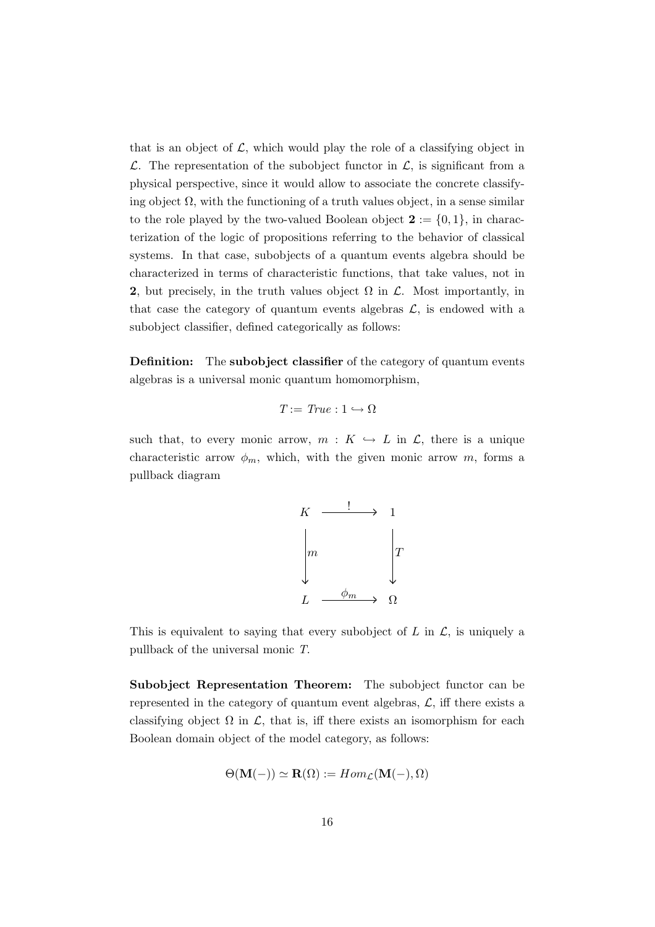that is an object of  $\mathcal{L}$ , which would play the role of a classifying object in  $\mathcal{L}$ . The representation of the subobject functor in  $\mathcal{L}$ , is significant from a physical perspective, since it would allow to associate the concrete classifying object  $\Omega$ , with the functioning of a truth values object, in a sense similar to the role played by the two-valued Boolean object  $2 := \{0, 1\}$ , in characterization of the logic of propositions referring to the behavior of classical systems. In that case, subobjects of a quantum events algebra should be characterized in terms of characteristic functions, that take values, not in 2, but precisely, in the truth values object  $\Omega$  in  $\mathcal L$ . Most importantly, in that case the category of quantum events algebras  $\mathcal{L}$ , is endowed with a subobject classifier, defined categorically as follows:

Definition: The subobject classifier of the category of quantum events algebras is a universal monic quantum homomorphism,

$$
T:=\mathit{True}: 1 \hookrightarrow \Omega
$$

such that, to every monic arrow,  $m: K \hookrightarrow L$  in  $\mathcal{L}$ , there is a unique characteristic arrow  $\phi_m$ , which, with the given monic arrow m, forms a pullback diagram



This is equivalent to saying that every subobject of  $L$  in  $\mathcal{L}$ , is uniquely a pullback of the universal monic T.

Subobject Representation Theorem: The subobject functor can be represented in the category of quantum event algebras,  $\mathcal{L}$ , iff there exists a classifying object  $\Omega$  in  $\mathcal{L}$ , that is, iff there exists an isomorphism for each Boolean domain object of the model category, as follows:

$$
\Theta(\mathbf{M}(-)) \simeq \mathbf{R}(\Omega) := Hom_{\mathcal{L}}(\mathbf{M}(-), \Omega)
$$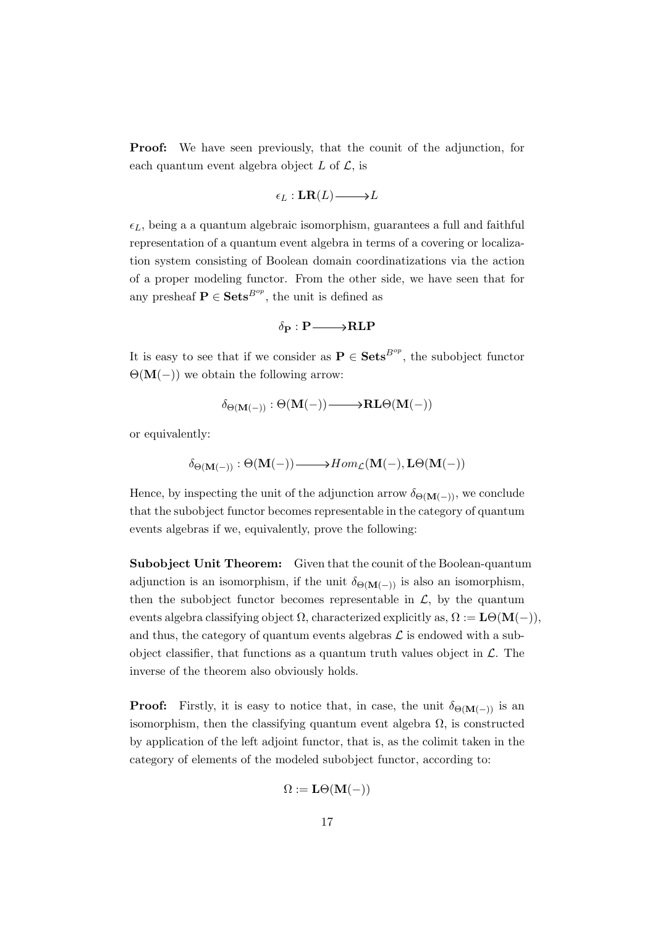**Proof:** We have seen previously, that the counit of the adjunction, for each quantum event algebra object  $L$  of  $\mathcal{L}$ , is

$$
\epsilon_L: \mathbf{LR}(L) \longrightarrow L
$$

 $\epsilon_L$ , being a a quantum algebraic isomorphism, guarantees a full and faithful representation of a quantum event algebra in terms of a covering or localization system consisting of Boolean domain coordinatizations via the action of a proper modeling functor. From the other side, we have seen that for any presheaf  $P \in \mathbf{Sets}^{B^{op}}$ , the unit is defined as

$$
\delta_{\mathbf{P}}:\mathbf{P}\longrightarrow\mathbf{RLP}
$$

It is easy to see that if we consider as  $\mathbf{P} \in \mathbf{Sets}^{B^{op}}$ , the subobject functor  $\Theta(\mathbf{M}(-))$  we obtain the following arrow:

$$
\delta_{\Theta(\mathbf{M}(-))}:\Theta(\mathbf{M}(-))\longrightarrow \mathbf{RL}\Theta(\mathbf{M}(-))
$$

or equivalently:

$$
\delta_{\Theta(\mathbf{M}(-))}:\Theta(\mathbf{M}(-))\!\longrightarrow\!Hom_{\mathcal{L}}(\mathbf{M}(-),\mathbf{L}\Theta(\mathbf{M}(-))
$$

Hence, by inspecting the unit of the adjunction arrow  $\delta_{\Theta(M(-))}$ , we conclude that the subobject functor becomes representable in the category of quantum events algebras if we, equivalently, prove the following:

Subobject Unit Theorem: Given that the counit of the Boolean-quantum adjunction is an isomorphism, if the unit  $\delta_{\Theta(M(-))}$  is also an isomorphism, then the subobject functor becomes representable in  $\mathcal{L}$ , by the quantum events algebra classifying object  $\Omega$ , characterized explicitly as,  $\Omega := \mathbf{L}\Theta(\mathbf{M}(-))$ , and thus, the category of quantum events algebras  $\mathcal L$  is endowed with a subobject classifier, that functions as a quantum truth values object in  $\mathcal{L}$ . The inverse of the theorem also obviously holds.

**Proof:** Firstly, it is easy to notice that, in case, the unit  $\delta_{\Theta(M(-))}$  is an isomorphism, then the classifying quantum event algebra  $\Omega$ , is constructed by application of the left adjoint functor, that is, as the colimit taken in the category of elements of the modeled subobject functor, according to:

$$
\Omega := \mathbf{L}\Theta(\mathbf{M}(-))
$$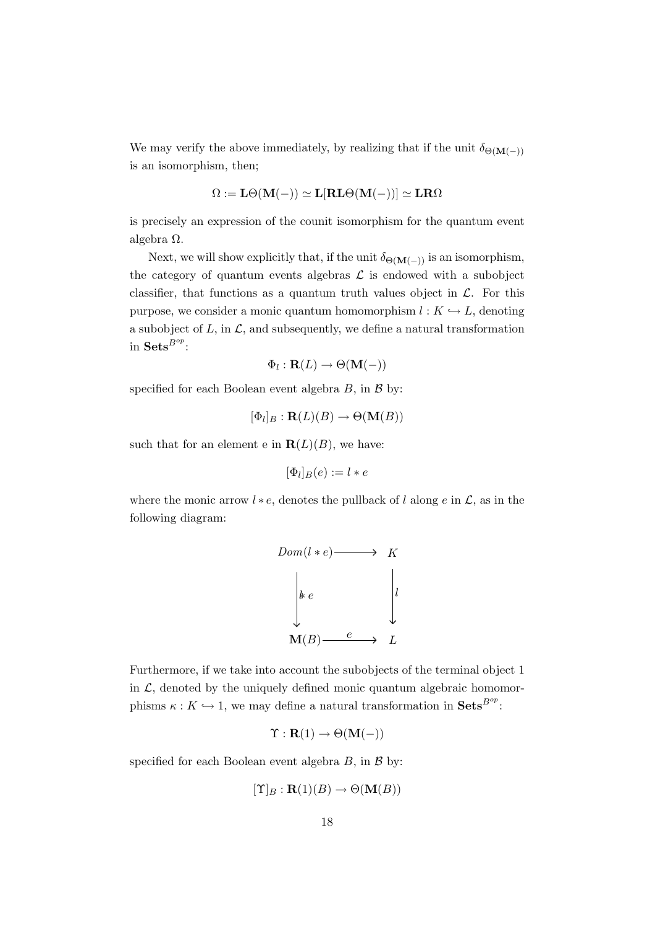We may verify the above immediately, by realizing that if the unit  $\delta_{\Theta(M(-))}$ is an isomorphism, then;

$$
\Omega := \mathbf{L}\Theta(\mathbf{M}(-)) \simeq \mathbf{L}[\mathbf{R}\mathbf{L}\Theta(\mathbf{M}(-))] \simeq \mathbf{L}\mathbf{R}\Omega
$$

is precisely an expression of the counit isomorphism for the quantum event algebra Ω.

Next, we will show explicitly that, if the unit  $\delta_{\Theta(M(-))}$  is an isomorphism, the category of quantum events algebras  $\mathcal L$  is endowed with a subobject classifier, that functions as a quantum truth values object in  $\mathcal{L}$ . For this purpose, we consider a monic quantum homomorphism  $l : K \hookrightarrow L$ , denoting a subobject of  $L$ , in  $\mathcal{L}$ , and subsequently, we define a natural transformation in  $\operatorname{\bf Sets}^{B^{op}}$ :

$$
\Phi_l : \mathbf{R}(L) \to \Theta(\mathbf{M}(-))
$$

specified for each Boolean event algebra  $B$ , in  $\beta$  by:

$$
[\Phi_l]_B : \mathbf{R}(L)(B) \to \Theta(\mathbf{M}(B))
$$

such that for an element e in  $\mathbf{R}(L)(B)$ , we have:

$$
[\Phi_l]_B(e) := l * e
$$

where the monic arrow  $l * e$ , denotes the pullback of l along e in  $\mathcal{L}$ , as in the following diagram:



Furthermore, if we take into account the subobjects of the terminal object 1 in  $\mathcal{L}$ , denoted by the uniquely defined monic quantum algebraic homomorphisms  $\kappa : K \hookrightarrow 1$ , we may define a natural transformation in **Sets**<sup>Bop</sup>:

$$
\Upsilon: \mathbf{R}(1) \to \Theta(\mathbf{M}(-))
$$

specified for each Boolean event algebra  $B$ , in  $\beta$  by:

$$
[\Upsilon]_B : \mathbf{R}(1)(B) \to \Theta(\mathbf{M}(B))
$$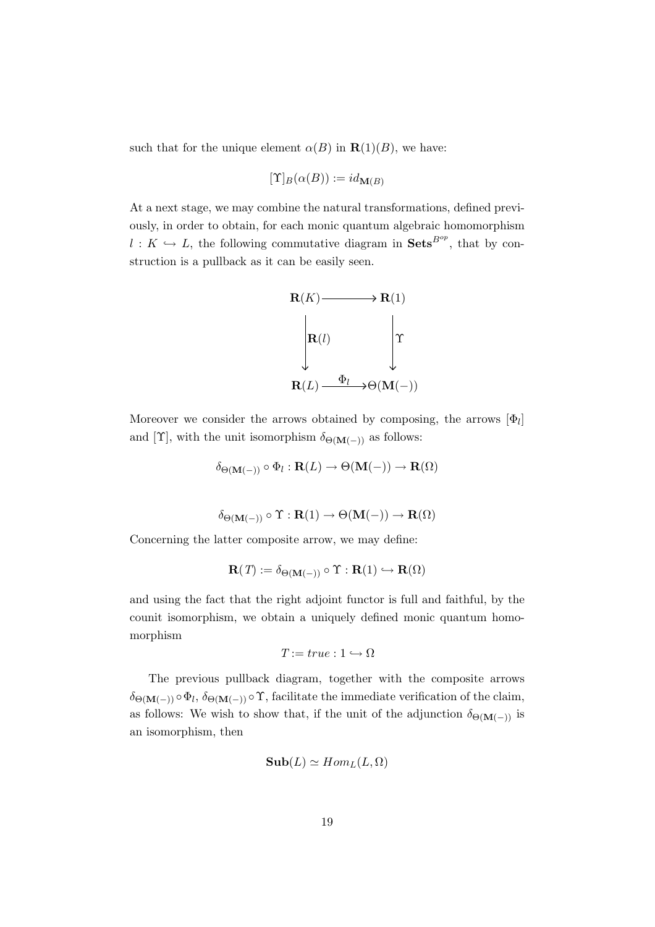such that for the unique element  $\alpha(B)$  in  $\mathbf{R}(1)(B)$ , we have:

$$
[\Upsilon]_B(\alpha(B)) := id_{\mathbf{M}(B)}
$$

At a next stage, we may combine the natural transformations, defined previously, in order to obtain, for each monic quantum algebraic homomorphism  $l: K \hookrightarrow L$ , the following commutative diagram in  $Sets^{B^{op}}$ , that by construction is a pullback as it can be easily seen.



Moreover we consider the arrows obtained by composing, the arrows  $[\Phi_l]$ and [ $\Upsilon$ ], with the unit isomorphism  $\delta_{\Theta(M(-))}$  as follows:

$$
\delta_{\Theta(\mathbf{M}(-))} \circ \Phi_l : \mathbf{R}(L) \to \Theta(\mathbf{M}(-)) \to \mathbf{R}(\Omega)
$$

$$
\delta_{\Theta(\mathbf{M}(-))} \circ \Upsilon : \mathbf{R}(1) \to \Theta(\mathbf{M}(-)) \to \mathbf{R}(\Omega)
$$

Concerning the latter composite arrow, we may define:

$$
\mathbf{R}(T) := \delta_{\Theta(\mathbf{M}(-))} \circ \Upsilon : \mathbf{R}(1) \hookrightarrow \mathbf{R}(\Omega)
$$

and using the fact that the right adjoint functor is full and faithful, by the counit isomorphism, we obtain a uniquely defined monic quantum homomorphism

$$
T:=true:1\hookrightarrow \Omega
$$

The previous pullback diagram, together with the composite arrows  $\delta_{\Theta(M(-))} \circ \Phi_l$ ,  $\delta_{\Theta(M(-))} \circ \Upsilon$ , facilitate the immediate verification of the claim, as follows: We wish to show that, if the unit of the adjunction  $\delta_{\Theta(M(-))}$  is an isomorphism, then

$$
\text{Sub}(L) \simeq Hom_L(L, \Omega)
$$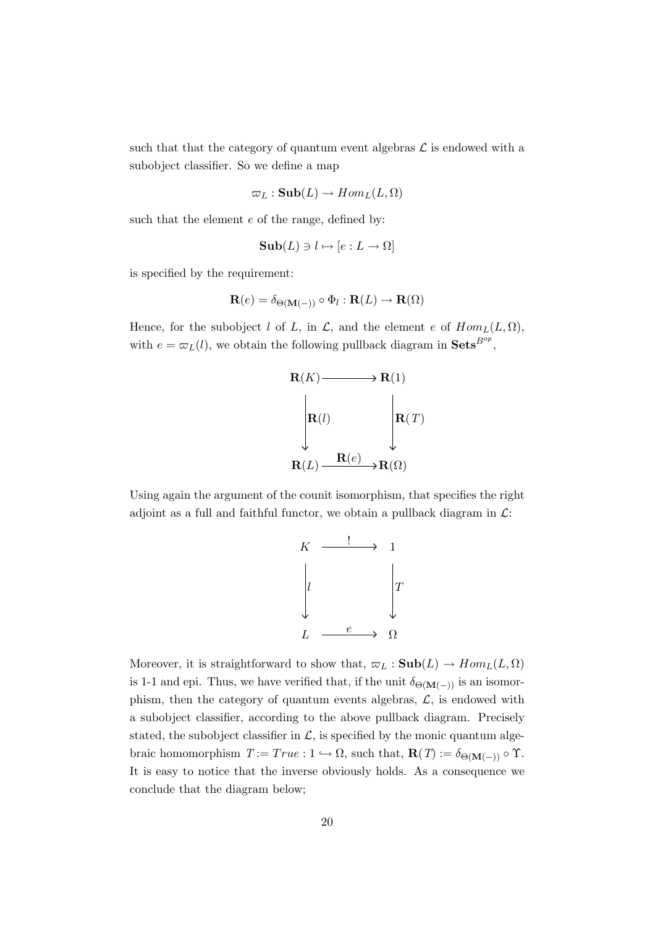such that that the category of quantum event algebras  $\mathcal L$  is endowed with a subobject classifier. So we define a map

$$
\varpi_L : \mathbf{Sub}(L) \to Hom_L(L, \Omega)
$$

such that the element e of the range, defined by:

$$
\mathbf{Sub}(L) \ni l \mapsto [e: L \to \Omega]
$$

is specified by the requirement:

$$
\mathbf{R}(e) = \delta_{\Theta(\mathbf{M}(-))} \circ \Phi_l : \mathbf{R}(L) \to \mathbf{R}(\Omega)
$$

Hence, for the subobject l of L, in L, and the element e of  $Hom_L(L, \Omega)$ , with  $e = \varpi_L(l)$ , we obtain the following pullback diagram in  $\textbf{Sets}^{B^{op}}$ ,



Using again the argument of the counit isomorphism, that specifies the right adjoint as a full and faithful functor, we obtain a pullback diagram in  $\mathcal{L}$ :



Moreover, it is straightforward to show that,  $\varpi_L : \mathbf{Sub}(L) \to Hom_L(L, \Omega)$ is 1-1 and epi. Thus, we have verified that, if the unit  $\delta_{\Theta(M(-))}$  is an isomorphism, then the category of quantum events algebras,  $\mathcal{L}$ , is endowed with a subobject classifier, according to the above pullback diagram. Precisely stated, the subobject classifier in  $\mathcal{L}$ , is specified by the monic quantum algebraic homomorphism  $T := True : 1 \hookrightarrow \Omega$ , such that,  $\mathbf{R}(T) := \delta_{\Theta(\mathbf{M}(-))} \circ \Upsilon$ . It is easy to notice that the inverse obviously holds. As a consequence we conclude that the diagram below;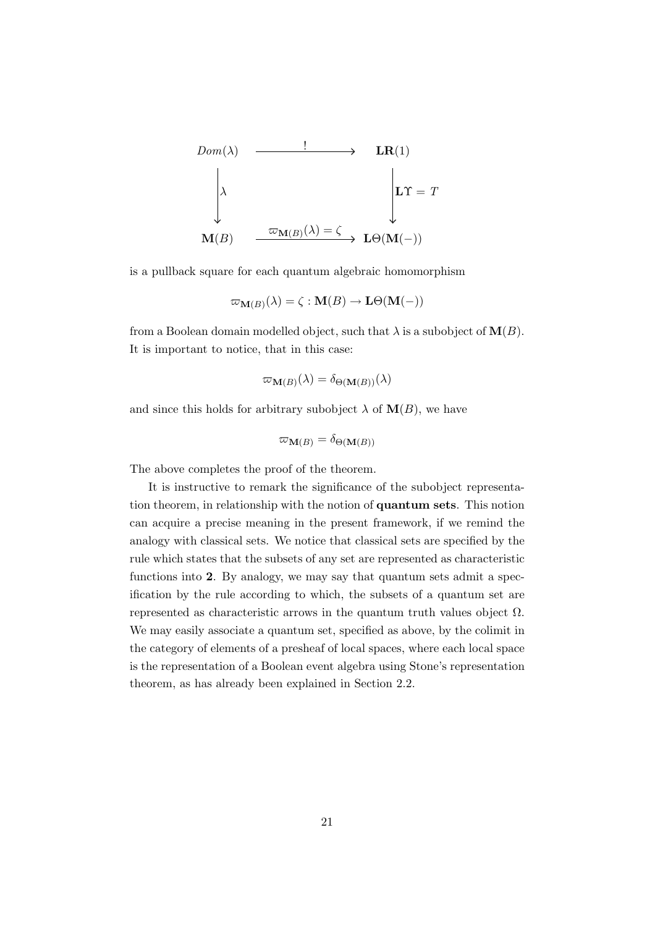

is a pullback square for each quantum algebraic homomorphism

$$
\varpi_{\mathbf{M}(B)}(\lambda) = \zeta : \mathbf{M}(B) \to \mathbf{L}\Theta(\mathbf{M}(-))
$$

from a Boolean domain modelled object, such that  $\lambda$  is a subobject of  $\mathbf{M}(B)$ . It is important to notice, that in this case:

$$
\varpi_{\mathbf{M}(B)}(\lambda) = \delta_{\Theta(\mathbf{M}(B))}(\lambda)
$$

and since this holds for arbitrary subobject  $\lambda$  of  $\mathbf{M}(B)$ , we have

$$
\varpi_{\mathbf{M}(B)} = \delta_{\Theta(\mathbf{M}(B))}
$$

The above completes the proof of the theorem.

It is instructive to remark the significance of the subobject representation theorem, in relationship with the notion of quantum sets. This notion can acquire a precise meaning in the present framework, if we remind the analogy with classical sets. We notice that classical sets are specified by the rule which states that the subsets of any set are represented as characteristic functions into 2. By analogy, we may say that quantum sets admit a specification by the rule according to which, the subsets of a quantum set are represented as characteristic arrows in the quantum truth values object Ω. We may easily associate a quantum set, specified as above, by the colimit in the category of elements of a presheaf of local spaces, where each local space is the representation of a Boolean event algebra using Stone's representation theorem, as has already been explained in Section 2.2.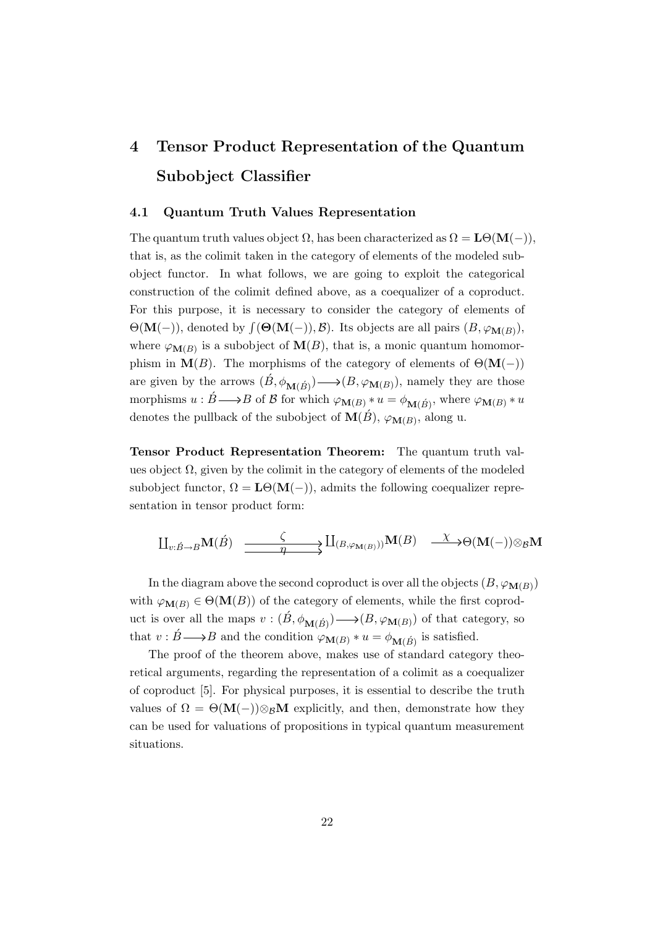# 4 Tensor Product Representation of the Quantum Subobject Classifier

#### 4.1 Quantum Truth Values Representation

The quantum truth values object  $\Omega$ , has been characterized as  $\Omega = \mathbf{L}\Theta(\mathbf{M}(-))$ , that is, as the colimit taken in the category of elements of the modeled subobject functor. In what follows, we are going to exploit the categorical construction of the colimit defined above, as a coequalizer of a coproduct. For this purpose, it is necessary to consider the category of elements of  $\Theta(\mathbf{M}(-))$ , denoted by  $\int (\mathbf{\Theta}(\mathbf{M}(-)), \mathcal{B})$ . Its objects are all pairs  $(B, \varphi_{\mathbf{M}(B)})$ , where  $\varphi_{\mathbf{M}(B)}$  is a subobject of  $\mathbf{M}(B)$ , that is, a monic quantum homomorphism in  $\mathbf{M}(B)$ . The morphisms of the category of elements of  $\Theta(\mathbf{M}(-))$ are given by the arrows  $(\acute{B}, \phi_{\mathbf{M}(\acute{B})}) \longrightarrow (B, \varphi_{\mathbf{M}(B)})$ , namely they are those morphisms  $u : \acute{B} \longrightarrow B$  of B for which  $\varphi_{\mathbf{M}(B)} * u = \phi_{\mathbf{M}(B)}$ , where  $\varphi_{\mathbf{M}(B)} * u$ denotes the pullback of the subobject of  $\mathbf{M}(\acute{B}), \varphi_{\mathbf{M}(B)}$ , along u.

Tensor Product Representation Theorem: The quantum truth values object  $\Omega$ , given by the colimit in the category of elements of the modeled subobject functor,  $\Omega = \text{LO}(\text{M}(-))$ , admits the following coequalizer representation in tensor product form:

$$
\underline{\Pi}_{v:\acute{B}\rightarrow B}\mathbf{M}(\acute{B})\xrightarrow{\zeta}\underline{\Pi}_{(B,\varphi_{\mathbf{M}(B)}))}\mathbf{M}(B)\xrightarrow{\chi}\Theta(\mathbf{M}(-))\otimes_{\mathcal{B}}\mathbf{M}
$$

In the diagram above the second coproduct is over all the objects  $(B, \varphi_{\mathbf{M}(B)})$ with  $\varphi_{\mathbf{M}(B)} \in \Theta(\mathbf{M}(B))$  of the category of elements, while the first coproduct is over all the maps  $v : (\acute{B}, \phi_{\mathbf{M}(\acute{B})}) \longrightarrow (B, \varphi_{\mathbf{M}(B)})$  of that category, so that  $v : \acute{B} \longrightarrow B$  and the condition  $\varphi_{\mathbf{M}(B)} * u = \phi_{\mathbf{M}(B)}$  is satisfied.

The proof of the theorem above, makes use of standard category theoretical arguments, regarding the representation of a colimit as a coequalizer of coproduct [5]. For physical purposes, it is essential to describe the truth values of  $\Omega = \Theta(M(-))\otimes_{\mathcal{B}} M$  explicitly, and then, demonstrate how they can be used for valuations of propositions in typical quantum measurement situations.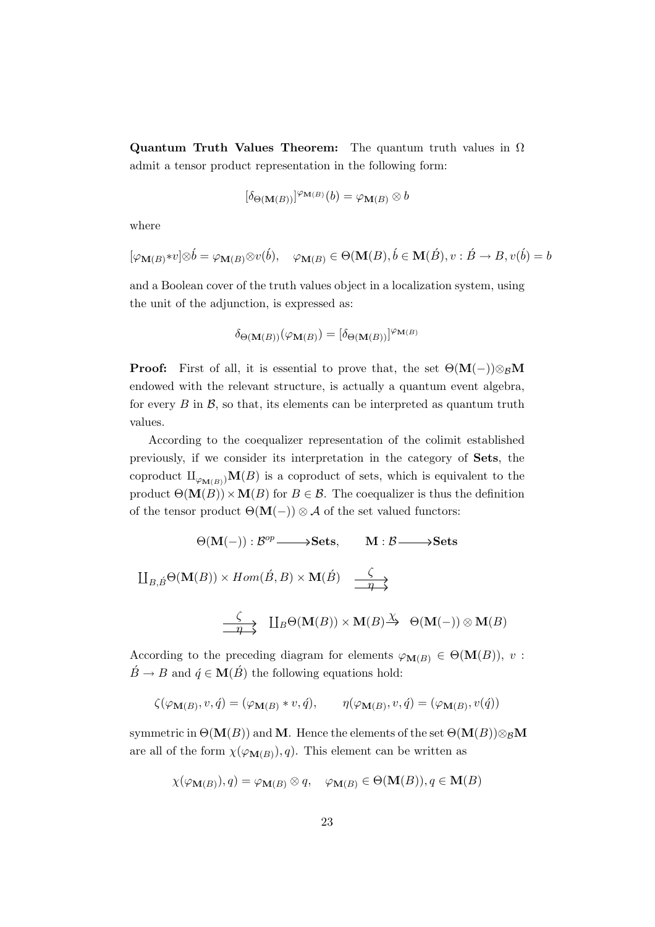Quantum Truth Values Theorem: The quantum truth values in  $\Omega$ admit a tensor product representation in the following form:

$$
[\delta_{\Theta(\mathbf{M}(B))}]^{\varphi_{\mathbf{M}(B)}}(b)=\varphi_{\mathbf{M}(B)}\otimes b
$$

where

$$
[\varphi_{\mathbf{M}(B)} * v] \otimes \acute{b} = \varphi_{\mathbf{M}(B)} \otimes v(\acute{b}), \quad \varphi_{\mathbf{M}(B)} \in \Theta(\mathbf{M}(B), \acute{b} \in \mathbf{M}(\acute{B}), v : \acute{B} \to B, v(\acute{b}) = b
$$

and a Boolean cover of the truth values object in a localization system, using the unit of the adjunction, is expressed as:

$$
\delta_{\Theta(\mathbf{M}(B))}(\varphi_{\mathbf{M}(B)}) = [\delta_{\Theta(\mathbf{M}(B))}]^{\varphi_{\mathbf{M}(B)}}
$$

**Proof:** First of all, it is essential to prove that, the set  $\Theta(\mathbf{M}(-))\otimes_{\mathcal{B}}\mathbf{M}$ endowed with the relevant structure, is actually a quantum event algebra, for every  $B$  in  $\beta$ , so that, its elements can be interpreted as quantum truth values.

According to the coequalizer representation of the colimit established previously, if we consider its interpretation in the category of Sets, the coproduct  $\amalg_{\varphi_{\mathbf{M}(B)}} \mathbf{M}(B)$  is a coproduct of sets, which is equivalent to the product  $\Theta(\mathbf{M}(B)) \times \mathbf{M}(B)$  for  $B \in \mathcal{B}$ . The coequalizer is thus the definition of the tensor product  $\Theta(\mathbf{M}(-)) \otimes A$  of the set valued functors:

$$
\Theta(\mathbf{M}(-)) : \mathcal{B}^{op} \longrightarrow \mathbf{Sets}, \qquad \mathbf{M} : \mathcal{B} \longrightarrow \mathbf{Sets}
$$
  

$$
\amalg_{B, \vec{B}} \Theta(\mathbf{M}(B)) \times Hom(\vec{B}, B) \times \mathbf{M}(\vec{B}) \xrightarrow[\text{def}]{\text{def}} \frac{\zeta}{\longrightarrow}
$$
  

$$
\xrightarrow[\text{def}]]{} \coprod_{B} \Theta(\mathbf{M}(B)) \times \mathbf{M}(B) \xrightarrow{\chi} \Theta(\mathbf{M}(-)) \otimes \mathbf{M}(B)
$$

According to the preceding diagram for elements  $\varphi_{\mathbf{M}(B)} \in \Theta(\mathbf{M}(B)), v$ :  $\acute{B} \rightarrow B$  and  $\acute{q} \in M(\acute{B})$  the following equations hold:

$$
\zeta(\varphi_{\mathbf{M}(B)}, v, \acute{q}) = (\varphi_{\mathbf{M}(B)} * v, \acute{q}), \qquad \eta(\varphi_{\mathbf{M}(B)}, v, \acute{q}) = (\varphi_{\mathbf{M}(B)}, v(\acute{q}))
$$

symmetric in  $\Theta(\mathbf{M}(B))$  and M. Hence the elements of the set  $\Theta(\mathbf{M}(B))\otimes_{\mathcal{B}}\mathbf{M}$ are all of the form  $\chi(\varphi_{\mathbf{M}(B)})$ , q). This element can be written as

$$
\chi(\varphi_{\mathbf{M}(B)}), q) = \varphi_{\mathbf{M}(B)} \otimes q, \quad \varphi_{\mathbf{M}(B)} \in \Theta(\mathbf{M}(B)), q \in \mathbf{M}(B)
$$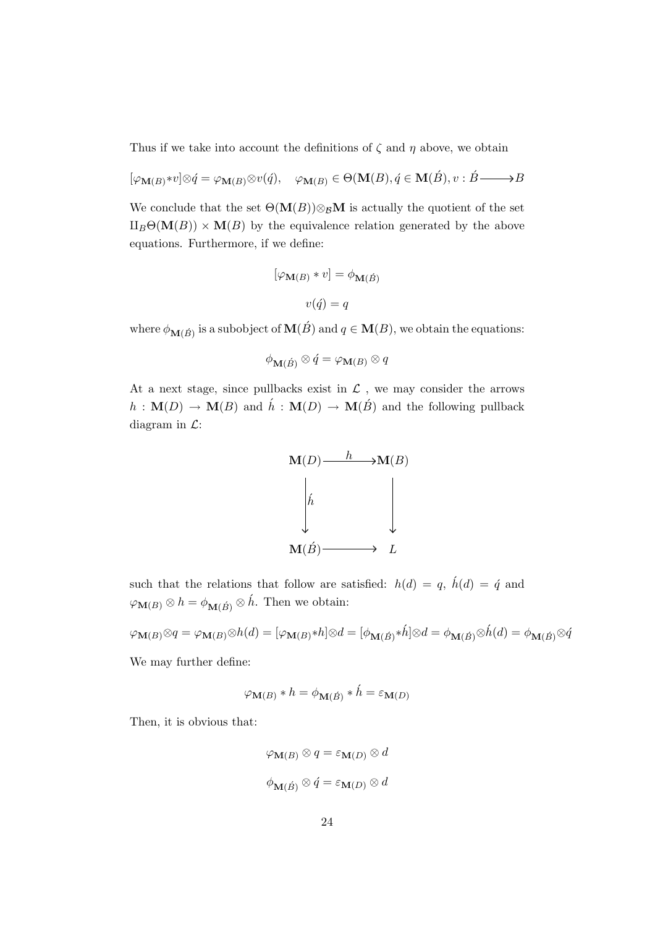Thus if we take into account the definitions of  $\zeta$  and  $\eta$  above, we obtain

$$
[\varphi_{\mathbf{M}(B)} * v] \otimes \acute{q} = \varphi_{\mathbf{M}(B)} \otimes v(\acute{q}), \quad \varphi_{\mathbf{M}(B)} \in \Theta(\mathbf{M}(B), \acute{q} \in \mathbf{M}(\acute{B}), v : \acute{B} \longrightarrow B
$$

We conclude that the set  $\Theta(\mathbf{M}(B))\otimes_{\mathcal{B}}\mathbf{M}$  is actually the quotient of the set  $\amalg_B\Theta(\mathbf{M}(B)) \times \mathbf{M}(B)$  by the equivalence relation generated by the above equations. Furthermore, if we define:

$$
[\varphi_{\mathbf{M}(B)} * v] = \phi_{\mathbf{M}(\acute{B})}
$$

$$
v(\acute{q}) = q
$$

where  $\phi_{\mathbf{M}(\acute{B})}$  is a subobject of  $\mathbf{M}(\acute{B})$  and  $q\in\mathbf{M}(B),$  we obtain the equations:

$$
\phi_{\mathbf{M}(\acute{B})}\otimes\acute{q}=\varphi_{\mathbf{M}(B)}\otimes q
$$

At a next stage, since pullbacks exist in  $\mathcal L$ , we may consider the arrows  $h : M(D) \to M(B)$  and  $\hat{h} : M(D) \to M(\hat{B})$  and the following pullback diagram in  $\mathcal{L}$ :



such that the relations that follow are satisfied:  $h(d) = q$ ,  $\hat{h}(d) = \hat{q}$  and  $\varphi_{\mathbf{M}(B)} \otimes h = \phi_{\mathbf{M}(\check{B})} \otimes \check{h}$ . Then we obtain:

 $\varphi_{{\bf M}(B)}\otimes q=\varphi_{{\bf M}(B)}\otimes h(d)=[\varphi_{{\bf M}(B)}*h]\otimes d=[\phi_{{\bf M}(B)}*\hat{h}]\otimes d=\phi_{{\bf M}(B)}\otimes \hat{h}(d)=\phi_{{\bf M}(B)}\otimes \hat{q}$ 

We may further define:

$$
\varphi_{\mathbf{M}(B)} * h = \phi_{\mathbf{M}(\acute{B})} * \acute{h} = \varepsilon_{\mathbf{M}(D)}
$$

Then, it is obvious that:

$$
\varphi_{\mathbf{M}(B)} \otimes q = \varepsilon_{\mathbf{M}(D)} \otimes d
$$

$$
\phi_{\mathbf{M}(B)} \otimes \acute{q} = \varepsilon_{\mathbf{M}(D)} \otimes d
$$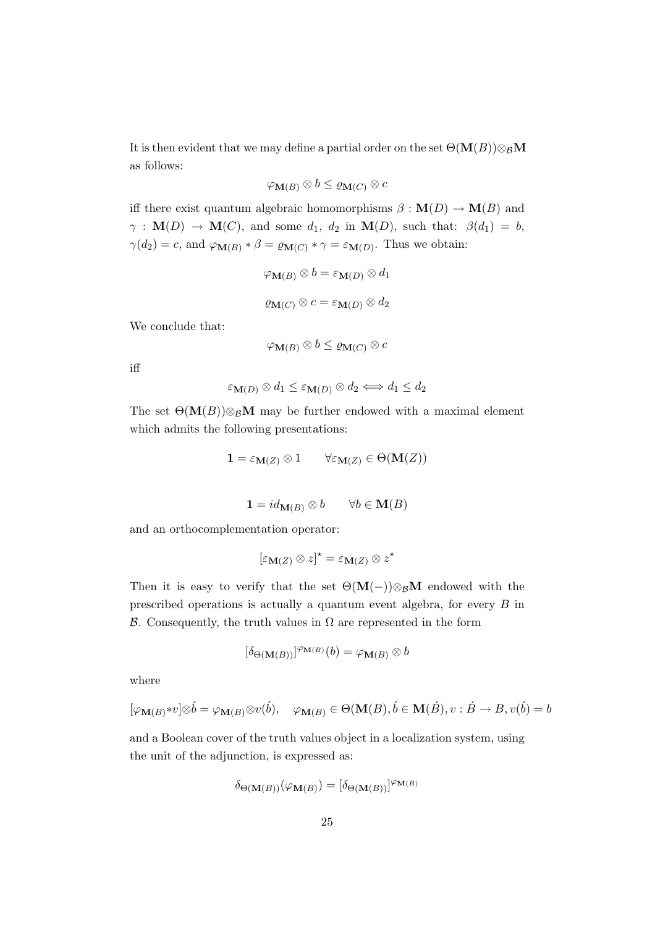It is then evident that we may define a partial order on the set  $\Theta(\mathbf{M}(B))\otimes_{\mathcal{B}}\mathbf{M}$ as follows:

$$
\varphi_{\mathbf{M}(B)} \otimes b \leq \varrho_{\mathbf{M}(C)} \otimes c
$$

iff there exist quantum algebraic homomorphisms  $\beta : M(D) \to M(B)$  and  $\gamma : \mathbf{M}(D) \to \mathbf{M}(C)$ , and some  $d_1, d_2$  in  $\mathbf{M}(D)$ , such that:  $\beta(d_1) = b$ ,  $\gamma(d_2) = c$ , and  $\varphi_{\mathbf{M}(B)} * \beta = \varrho_{\mathbf{M}(C)} * \gamma = \varepsilon_{\mathbf{M}(D)}$ . Thus we obtain:

$$
\varphi_{\mathbf{M}(B)} \otimes b = \varepsilon_{\mathbf{M}(D)} \otimes d_1
$$

$$
\varrho_{\mathbf{M}(C)} \otimes c = \varepsilon_{\mathbf{M}(D)} \otimes d_2
$$

We conclude that:

$$
\varphi_{\mathbf{M}(B)} \otimes b \leq \varrho_{\mathbf{M}(C)} \otimes c
$$

iff

$$
\varepsilon_{\mathbf{M}(D)} \otimes d_1 \le \varepsilon_{\mathbf{M}(D)} \otimes d_2 \Longleftrightarrow d_1 \le d_2
$$

The set  $\Theta(\mathbf{M}(B))\otimes_{\mathcal{B}}\mathbf{M}$  may be further endowed with a maximal element which admits the following presentations:

$$
1 = \varepsilon_{\mathbf{M}(Z)} \otimes 1 \qquad \forall \varepsilon_{\mathbf{M}(Z)} \in \Theta(\mathbf{M}(Z))
$$

$$
\mathbf{1} = id_{\mathbf{M}(B)} \otimes b \qquad \forall b \in \mathbf{M}(B)
$$

and an orthocomplementation operator:

$$
[\varepsilon_{\mathbf{M}(Z)}\otimes z]^\star=\varepsilon_{\mathbf{M}(Z)}\otimes z^\star
$$

Then it is easy to verify that the set  $\Theta(\mathbf{M}(-))\otimes_{\mathcal{B}}\mathbf{M}$  endowed with the prescribed operations is actually a quantum event algebra, for every B in B. Consequently, the truth values in  $\Omega$  are represented in the form

$$
[\delta_{\Theta(\mathbf{M}(B))}]^{\varphi_{\mathbf{M}(B)}}(b) = \varphi_{\mathbf{M}(B)} \otimes b
$$

where

$$
[\varphi_{\mathbf{M}(B)} * v] \otimes \acute{b} = \varphi_{\mathbf{M}(B)} \otimes v(\acute{b}), \quad \varphi_{\mathbf{M}(B)} \in \Theta(\mathbf{M}(B), \acute{b} \in \mathbf{M}(\acute{B}), v : \acute{B} \to B, v(\acute{b}) = b
$$

and a Boolean cover of the truth values object in a localization system, using the unit of the adjunction, is expressed as:

$$
\delta_{\Theta(\mathbf{M}(B))}(\varphi_{\mathbf{M}(B)}) = [\delta_{\Theta(\mathbf{M}(B))}]^{\varphi_{\mathbf{M}(B)}}
$$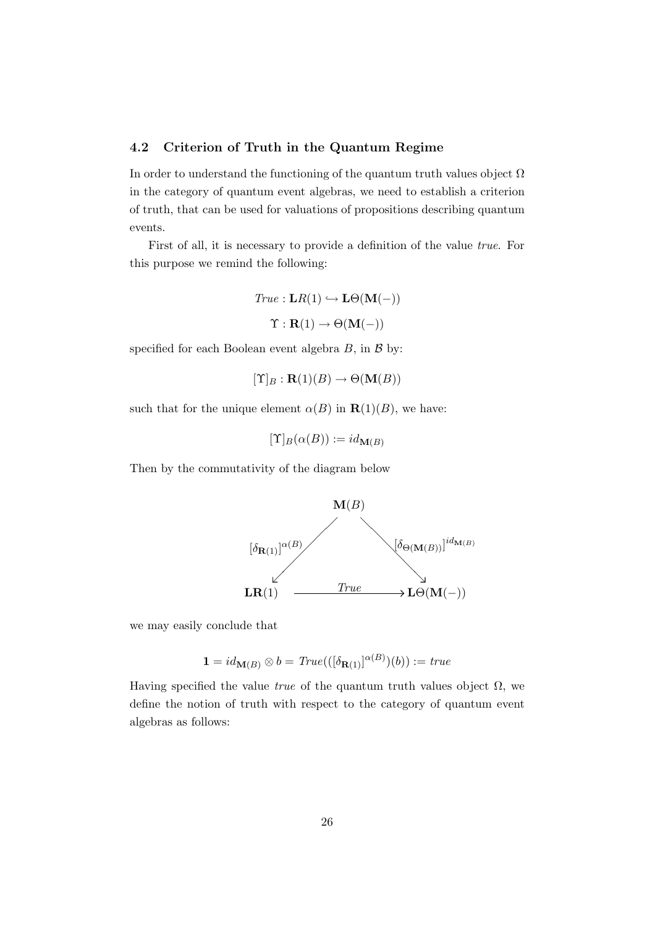#### 4.2 Criterion of Truth in the Quantum Regime

In order to understand the functioning of the quantum truth values object  $\Omega$ in the category of quantum event algebras, we need to establish a criterion of truth, that can be used for valuations of propositions describing quantum events.

First of all, it is necessary to provide a definition of the value true. For this purpose we remind the following:

$$
True : \mathbf{L}R(1) \hookrightarrow \mathbf{L}\Theta(\mathbf{M}(-))
$$

$$
\Upsilon : \mathbf{R}(1) \to \Theta(\mathbf{M}(-))
$$

specified for each Boolean event algebra  $B$ , in  $\beta$  by:

$$
[\Upsilon]_B : \mathbf{R}(1)(B) \to \Theta(\mathbf{M}(B))
$$

such that for the unique element  $\alpha(B)$  in  $\mathbf{R}(1)(B)$ , we have:

 $[\Upsilon]_B(\alpha(B)) := id_{\mathbf{M}(B)}$ 

Then by the commutativity of the diagram below



we may easily conclude that

$$
\mathbf{1} = id_{\mathbf{M}(B)} \otimes b = \text{True}(([\delta_{\mathbf{R}(1)}]^{\alpha(B)})(b)) := \text{true}
$$

Having specified the value *true* of the quantum truth values object  $\Omega$ , we define the notion of truth with respect to the category of quantum event algebras as follows: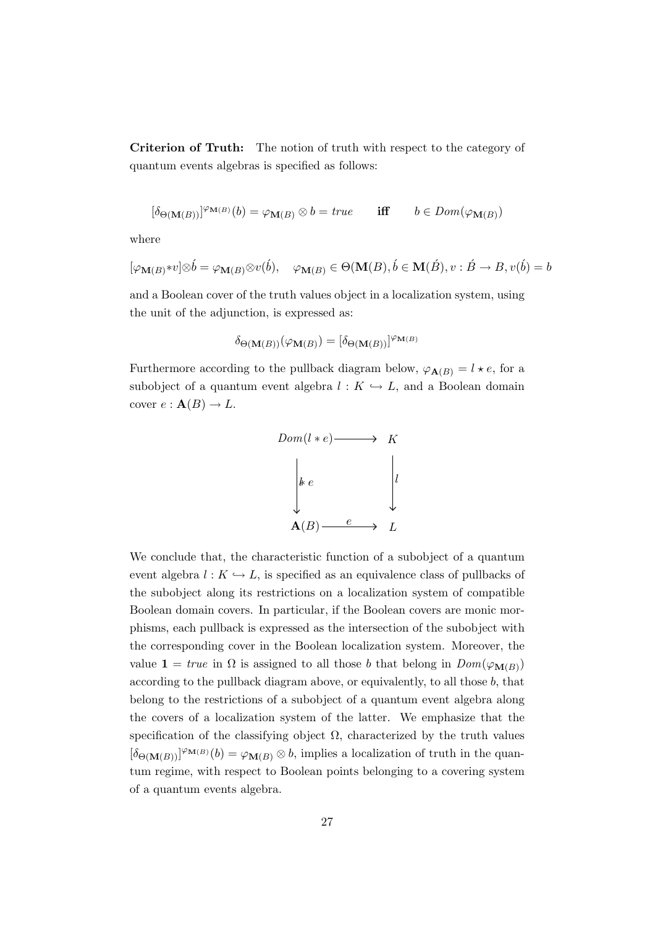Criterion of Truth: The notion of truth with respect to the category of quantum events algebras is specified as follows:

$$
[\delta_{\Theta(\mathbf{M}(B))}]^{\varphi_{\mathbf{M}(B)}}(b) = \varphi_{\mathbf{M}(B)} \otimes b = true \quad \text{iff} \quad b \in Dom(\varphi_{\mathbf{M}(B)})
$$

where

$$
[\varphi_{\mathbf{M}(B)} * v] \otimes \acute{b} = \varphi_{\mathbf{M}(B)} \otimes v(\acute{b}), \quad \varphi_{\mathbf{M}(B)} \in \Theta(\mathbf{M}(B), \acute{b} \in \mathbf{M}(\acute{B}), v : \acute{B} \to B, v(\acute{b}) = b
$$

and a Boolean cover of the truth values object in a localization system, using the unit of the adjunction, is expressed as:

$$
\delta_{\Theta(\mathbf{M}(B))}(\varphi_{\mathbf{M}(B)}) = [\delta_{\Theta(\mathbf{M}(B))}]^{\varphi_{\mathbf{M}(B)}}
$$

Furthermore according to the pullback diagram below,  $\varphi_{\mathbf{A}(B)} = l \star e$ , for a subobject of a quantum event algebra  $l : K \hookrightarrow L$ , and a Boolean domain cover  $e: \mathbf{A}(B) \to L$ .



We conclude that, the characteristic function of a subobject of a quantum event algebra  $l : K \hookrightarrow L$ , is specified as an equivalence class of pullbacks of the subobject along its restrictions on a localization system of compatible Boolean domain covers. In particular, if the Boolean covers are monic morphisms, each pullback is expressed as the intersection of the subobject with the corresponding cover in the Boolean localization system. Moreover, the value  $\mathbf{1} = \text{true}$  in  $\Omega$  is assigned to all those b that belong in  $\text{Dom}(\varphi_{\mathbf{M}(B)})$ according to the pullback diagram above, or equivalently, to all those b, that belong to the restrictions of a subobject of a quantum event algebra along the covers of a localization system of the latter. We emphasize that the specification of the classifying object  $\Omega$ , characterized by the truth values  $[\delta_{\Theta(\mathbf{M}(B))}]^{\varphi_{\mathbf{M}(B)}}(b) = \varphi_{\mathbf{M}(B)} \otimes b$ , implies a localization of truth in the quantum regime, with respect to Boolean points belonging to a covering system of a quantum events algebra.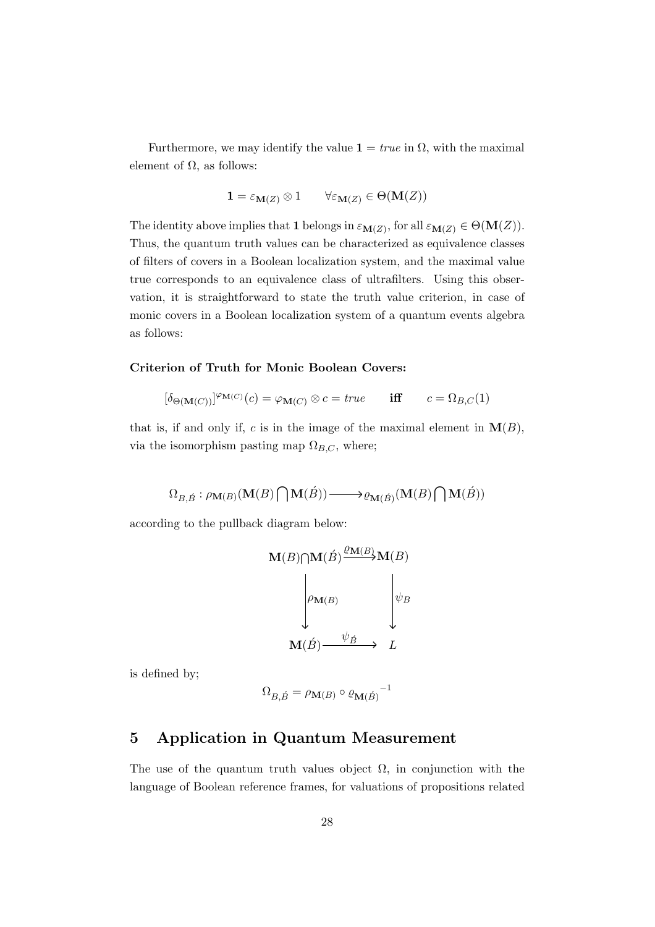Furthermore, we may identify the value  $1 = true$  in  $\Omega$ , with the maximal element of  $\Omega$ , as follows:

$$
1 = \varepsilon_{\mathbf{M}(Z)} \otimes 1 \qquad \forall \varepsilon_{\mathbf{M}(Z)} \in \Theta(\mathbf{M}(Z))
$$

The identity above implies that 1 belongs in  $\varepsilon_{\mathbf{M}(Z)}$ , for all  $\varepsilon_{\mathbf{M}(Z)} \in \Theta(\mathbf{M}(Z)).$ Thus, the quantum truth values can be characterized as equivalence classes of filters of covers in a Boolean localization system, and the maximal value true corresponds to an equivalence class of ultrafilters. Using this observation, it is straightforward to state the truth value criterion, in case of monic covers in a Boolean localization system of a quantum events algebra as follows:

#### Criterion of Truth for Monic Boolean Covers:

$$
[\delta_{\Theta(\mathbf M(C))}]^{\varphi_{\mathbf M(C)}}(c)=\varphi_{\mathbf M(C)}\otimes c=\mathit{true}\qquad\text{iff}\qquad c=\Omega_{B,C}(1)
$$

that is, if and only if, c is in the image of the maximal element in  $\mathbf{M}(B)$ , via the isomorphism pasting map  $\Omega_{B,C}$ , where;

$$
\Omega_{B,\acute{B}}: \rho_{\mathbf{M}(B)}(\mathbf{M}(B)\bigcap\mathbf{M}(\acute{B})) \longrightarrow \rho_{\mathbf{M}(\acute{B})}(\mathbf{M}(B)\bigcap\mathbf{M}(\acute{B}))
$$

according to the pullback diagram below:

$$
\mathbf{M}(B) \cap \mathbf{M}(\acute{B}) \xrightarrow{\varrho_{\mathbf{M}(B)}} \mathbf{M}(B)
$$
\n
$$
\downarrow \qquad \downarrow \qquad \downarrow \qquad \downarrow \downarrow \downarrow
$$
\n
$$
\mathbf{M}(\acute{B}) \xrightarrow{\psi_{\acute{B}}} L
$$

is defined by;

$$
\Omega_{B,\acute{B}} = \rho_{\mathbf{M}(B)} \circ \varrho_{\mathbf{M}(\acute{B})}^{-1}
$$

## 5 Application in Quantum Measurement

The use of the quantum truth values object  $\Omega$ , in conjunction with the language of Boolean reference frames, for valuations of propositions related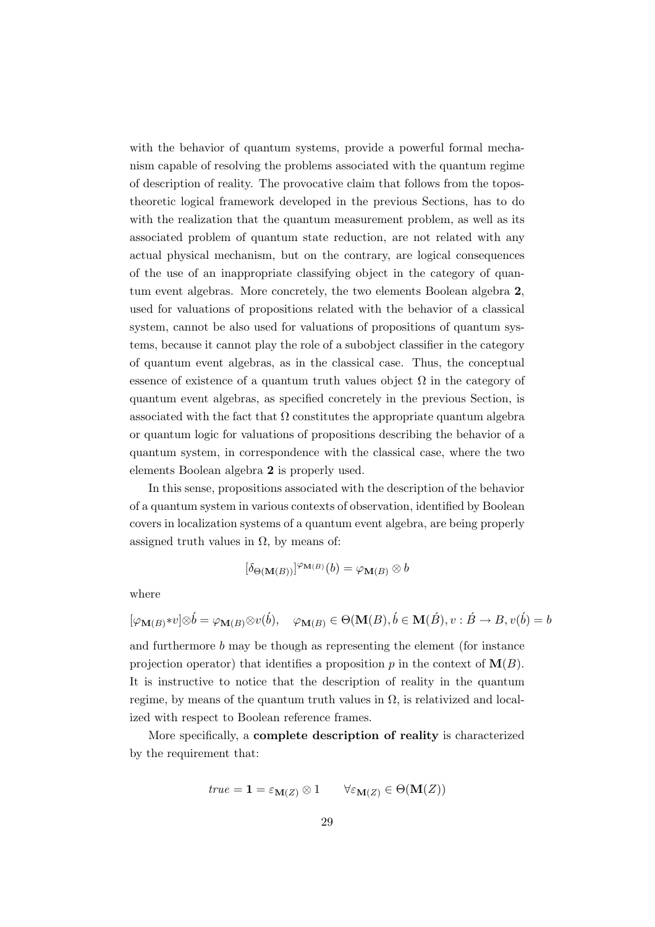with the behavior of quantum systems, provide a powerful formal mechanism capable of resolving the problems associated with the quantum regime of description of reality. The provocative claim that follows from the topostheoretic logical framework developed in the previous Sections, has to do with the realization that the quantum measurement problem, as well as its associated problem of quantum state reduction, are not related with any actual physical mechanism, but on the contrary, are logical consequences of the use of an inappropriate classifying object in the category of quantum event algebras. More concretely, the two elements Boolean algebra 2, used for valuations of propositions related with the behavior of a classical system, cannot be also used for valuations of propositions of quantum systems, because it cannot play the role of a subobject classifier in the category of quantum event algebras, as in the classical case. Thus, the conceptual essence of existence of a quantum truth values object  $\Omega$  in the category of quantum event algebras, as specified concretely in the previous Section, is associated with the fact that  $\Omega$  constitutes the appropriate quantum algebra or quantum logic for valuations of propositions describing the behavior of a quantum system, in correspondence with the classical case, where the two elements Boolean algebra 2 is properly used.

In this sense, propositions associated with the description of the behavior of a quantum system in various contexts of observation, identified by Boolean covers in localization systems of a quantum event algebra, are being properly assigned truth values in  $\Omega$ , by means of:

$$
[\delta_{\Theta(\mathbf{M}(B))}]^{\varphi_{\mathbf{M}(B)}}(b) = \varphi_{\mathbf{M}(B)} \otimes b
$$

where

$$
[\varphi_{{\mathbf{M}}(B)}*v]\otimes \acute{b}=\varphi_{{\mathbf{M}}(B)}\otimes v(\acute{b}),\quad \varphi_{{\mathbf{M}}(B)}\in \Theta({\mathbf{M}}(B),\acute{b}\in {\mathbf{M}}(\acute{B}),v:\acute{B}\to B, v(\acute{b})=b
$$

and furthermore b may be though as representing the element (for instance projection operator) that identifies a proposition p in the context of  $\mathbf{M}(B)$ . It is instructive to notice that the description of reality in the quantum regime, by means of the quantum truth values in  $\Omega$ , is relativized and localized with respect to Boolean reference frames.

More specifically, a complete description of reality is characterized by the requirement that:

$$
true = \mathbf{1} = \varepsilon_{\mathbf{M}(Z)} \otimes 1 \qquad \forall \varepsilon_{\mathbf{M}(Z)} \in \Theta(\mathbf{M}(Z))
$$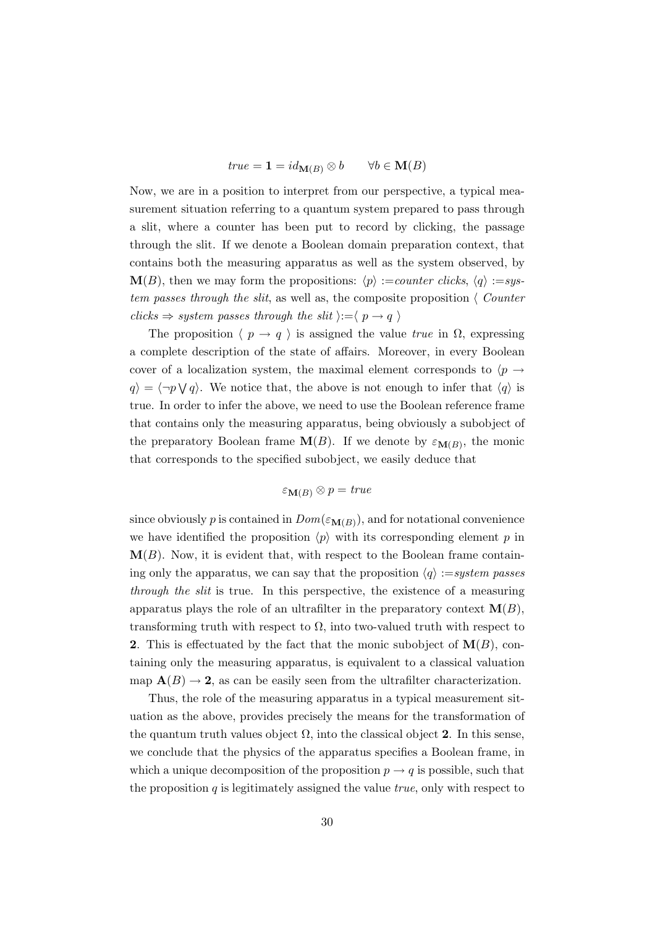$$
true = \mathbf{1} = id_{\mathbf{M}(B)} \otimes b \qquad \forall b \in \mathbf{M}(B)
$$

Now, we are in a position to interpret from our perspective, a typical measurement situation referring to a quantum system prepared to pass through a slit, where a counter has been put to record by clicking, the passage through the slit. If we denote a Boolean domain preparation context, that contains both the measuring apparatus as well as the system observed, by  $\mathbf{M}(B)$ , then we may form the propositions:  $\langle p \rangle$  :=counter clicks,  $\langle q \rangle$  :=system passes through the slit, as well as, the composite proposition  $\langle$  Counter clicks  $\Rightarrow$  system passes through the slit  $\rangle := \langle p \rightarrow q \rangle$ 

The proposition  $\langle p \to q \rangle$  is assigned the value true in  $\Omega$ , expressing a complete description of the state of affairs. Moreover, in every Boolean cover of a localization system, the maximal element corresponds to  $\langle p \rangle$  $q\rangle = \langle \neg p \vee q \rangle$ . We notice that, the above is not enough to infer that  $\langle q \rangle$  is true. In order to infer the above, we need to use the Boolean reference frame that contains only the measuring apparatus, being obviously a subobject of the preparatory Boolean frame  $\mathbf{M}(B)$ . If we denote by  $\varepsilon_{\mathbf{M}(B)}$ , the monic that corresponds to the specified subobject, we easily deduce that

$$
\varepsilon_{\mathbf{M}(B)} \otimes p = \text{true}
$$

since obviously p is contained in  $Dom(\varepsilon_{\mathbf{M}(B)})$ , and for notational convenience we have identified the proposition  $\langle p \rangle$  with its corresponding element p in  $\mathbf{M}(B)$ . Now, it is evident that, with respect to the Boolean frame containing only the apparatus, we can say that the proposition  $\langle q \rangle := system$  passes through the slit is true. In this perspective, the existence of a measuring apparatus plays the role of an ultrafilter in the preparatory context  $\mathbf{M}(B)$ , transforming truth with respect to  $\Omega$ , into two-valued truth with respect to 2. This is effectuated by the fact that the monic subobject of  $\mathbf{M}(B)$ , containing only the measuring apparatus, is equivalent to a classical valuation map  $\mathbf{A}(B) \to \mathbf{2}$ , as can be easily seen from the ultrafilter characterization.

Thus, the role of the measuring apparatus in a typical measurement situation as the above, provides precisely the means for the transformation of the quantum truth values object  $\Omega$ , into the classical object 2. In this sense, we conclude that the physics of the apparatus specifies a Boolean frame, in which a unique decomposition of the proposition  $p \to q$  is possible, such that the proposition  $q$  is legitimately assigned the value  $true$ , only with respect to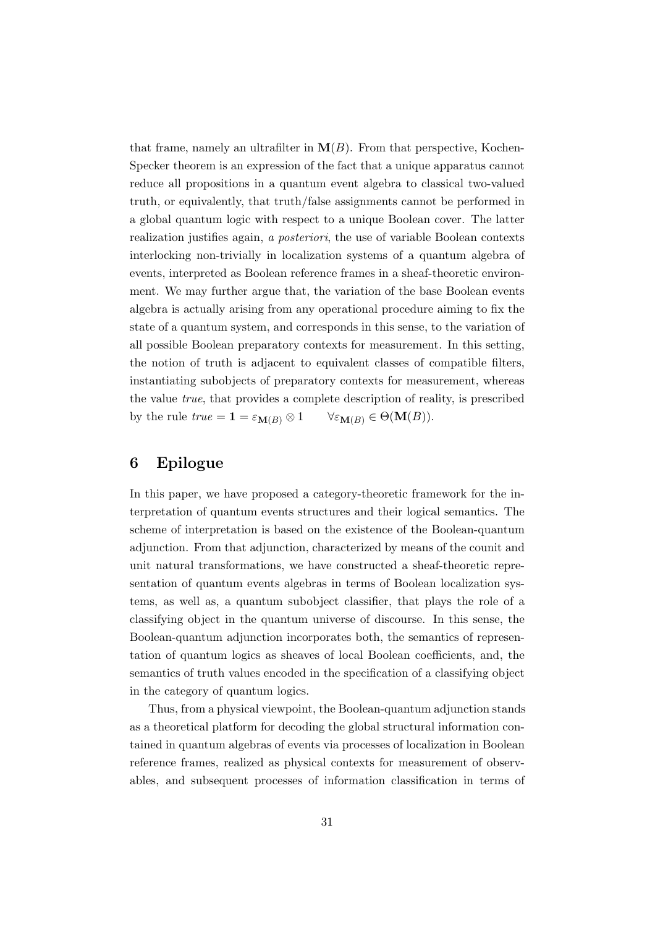that frame, namely an ultrafilter in  $\mathbf{M}(B)$ . From that perspective, Kochen-Specker theorem is an expression of the fact that a unique apparatus cannot reduce all propositions in a quantum event algebra to classical two-valued truth, or equivalently, that truth/false assignments cannot be performed in a global quantum logic with respect to a unique Boolean cover. The latter realization justifies again, a posteriori, the use of variable Boolean contexts interlocking non-trivially in localization systems of a quantum algebra of events, interpreted as Boolean reference frames in a sheaf-theoretic environment. We may further argue that, the variation of the base Boolean events algebra is actually arising from any operational procedure aiming to fix the state of a quantum system, and corresponds in this sense, to the variation of all possible Boolean preparatory contexts for measurement. In this setting, the notion of truth is adjacent to equivalent classes of compatible filters, instantiating subobjects of preparatory contexts for measurement, whereas the value true, that provides a complete description of reality, is prescribed by the rule  $true = \mathbf{1} = \varepsilon_{\mathbf{M}(B)} \otimes 1 \quad \forall \varepsilon_{\mathbf{M}(B)} \in \Theta(\mathbf{M}(B)).$ 

## 6 Epilogue

In this paper, we have proposed a category-theoretic framework for the interpretation of quantum events structures and their logical semantics. The scheme of interpretation is based on the existence of the Boolean-quantum adjunction. From that adjunction, characterized by means of the counit and unit natural transformations, we have constructed a sheaf-theoretic representation of quantum events algebras in terms of Boolean localization systems, as well as, a quantum subobject classifier, that plays the role of a classifying object in the quantum universe of discourse. In this sense, the Boolean-quantum adjunction incorporates both, the semantics of representation of quantum logics as sheaves of local Boolean coefficients, and, the semantics of truth values encoded in the specification of a classifying object in the category of quantum logics.

Thus, from a physical viewpoint, the Boolean-quantum adjunction stands as a theoretical platform for decoding the global structural information contained in quantum algebras of events via processes of localization in Boolean reference frames, realized as physical contexts for measurement of observables, and subsequent processes of information classification in terms of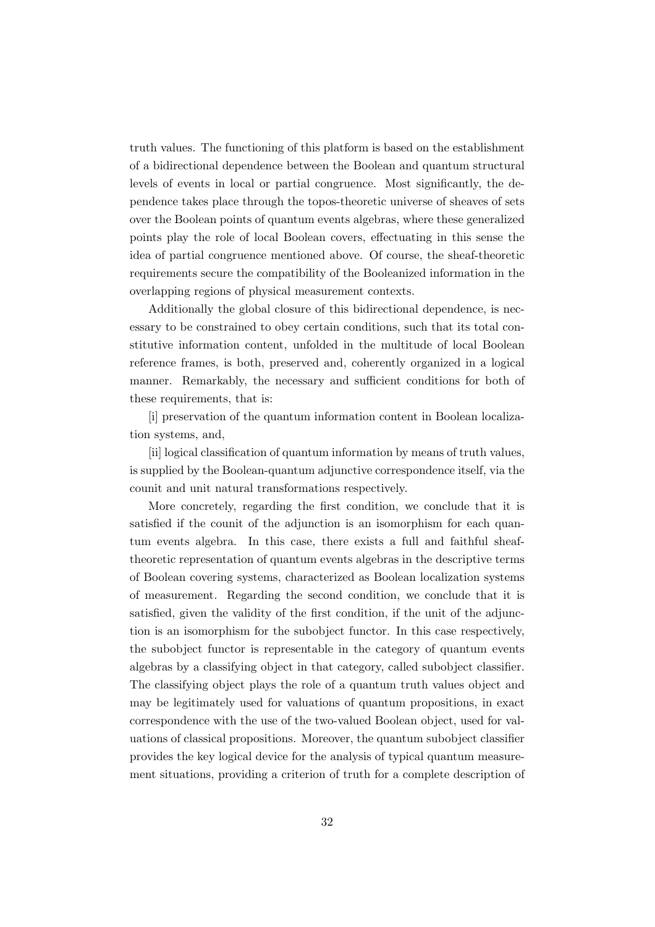truth values. The functioning of this platform is based on the establishment of a bidirectional dependence between the Boolean and quantum structural levels of events in local or partial congruence. Most significantly, the dependence takes place through the topos-theoretic universe of sheaves of sets over the Boolean points of quantum events algebras, where these generalized points play the role of local Boolean covers, effectuating in this sense the idea of partial congruence mentioned above. Of course, the sheaf-theoretic requirements secure the compatibility of the Booleanized information in the overlapping regions of physical measurement contexts.

Additionally the global closure of this bidirectional dependence, is necessary to be constrained to obey certain conditions, such that its total constitutive information content, unfolded in the multitude of local Boolean reference frames, is both, preserved and, coherently organized in a logical manner. Remarkably, the necessary and sufficient conditions for both of these requirements, that is:

[i] preservation of the quantum information content in Boolean localization systems, and,

[ii] logical classification of quantum information by means of truth values, is supplied by the Boolean-quantum adjunctive correspondence itself, via the counit and unit natural transformations respectively.

More concretely, regarding the first condition, we conclude that it is satisfied if the counit of the adjunction is an isomorphism for each quantum events algebra. In this case, there exists a full and faithful sheaftheoretic representation of quantum events algebras in the descriptive terms of Boolean covering systems, characterized as Boolean localization systems of measurement. Regarding the second condition, we conclude that it is satisfied, given the validity of the first condition, if the unit of the adjunction is an isomorphism for the subobject functor. In this case respectively, the subobject functor is representable in the category of quantum events algebras by a classifying object in that category, called subobject classifier. The classifying object plays the role of a quantum truth values object and may be legitimately used for valuations of quantum propositions, in exact correspondence with the use of the two-valued Boolean object, used for valuations of classical propositions. Moreover, the quantum subobject classifier provides the key logical device for the analysis of typical quantum measurement situations, providing a criterion of truth for a complete description of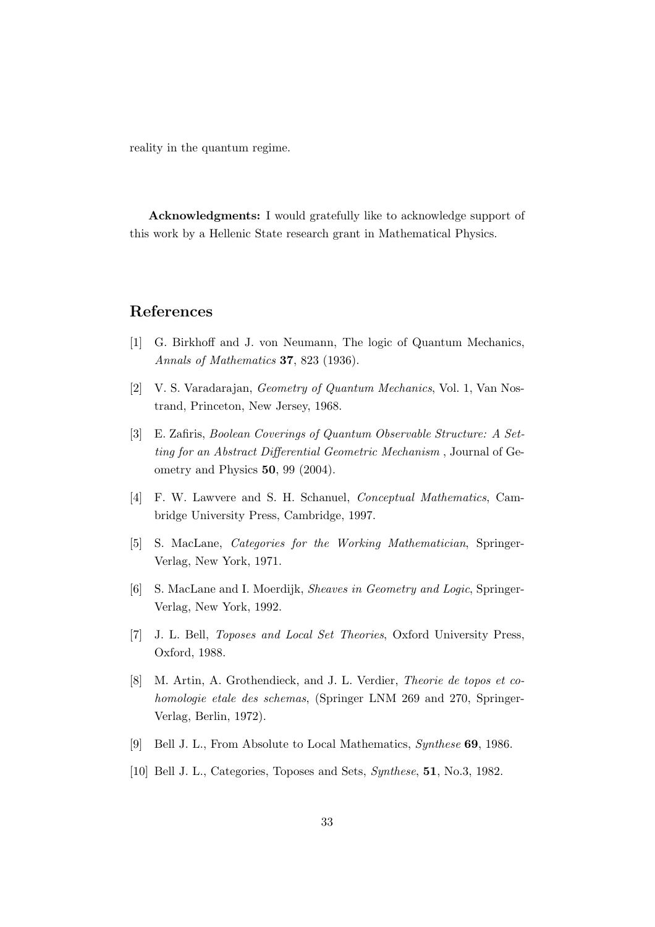reality in the quantum regime.

Acknowledgments: I would gratefully like to acknowledge support of this work by a Hellenic State research grant in Mathematical Physics.

## References

- [1] G. Birkhoff and J. von Neumann, The logic of Quantum Mechanics, Annals of Mathematics 37, 823 (1936).
- [2] V. S. Varadarajan, Geometry of Quantum Mechanics, Vol. 1, Van Nostrand, Princeton, New Jersey, 1968.
- [3] E. Zafiris, Boolean Coverings of Quantum Observable Structure: A Setting for an Abstract Differential Geometric Mechanism , Journal of Geometry and Physics 50, 99 (2004).
- [4] F. W. Lawvere and S. H. Schanuel, Conceptual Mathematics, Cambridge University Press, Cambridge, 1997.
- [5] S. MacLane, Categories for the Working Mathematician, Springer-Verlag, New York, 1971.
- [6] S. MacLane and I. Moerdijk, Sheaves in Geometry and Logic, Springer-Verlag, New York, 1992.
- [7] J. L. Bell, Toposes and Local Set Theories, Oxford University Press, Oxford, 1988.
- [8] M. Artin, A. Grothendieck, and J. L. Verdier, Theorie de topos et cohomologie etale des schemas, (Springer LNM 269 and 270, Springer-Verlag, Berlin, 1972).
- [9] Bell J. L., From Absolute to Local Mathematics, Synthese 69, 1986.
- [10] Bell J. L., Categories, Toposes and Sets, Synthese, 51, No.3, 1982.